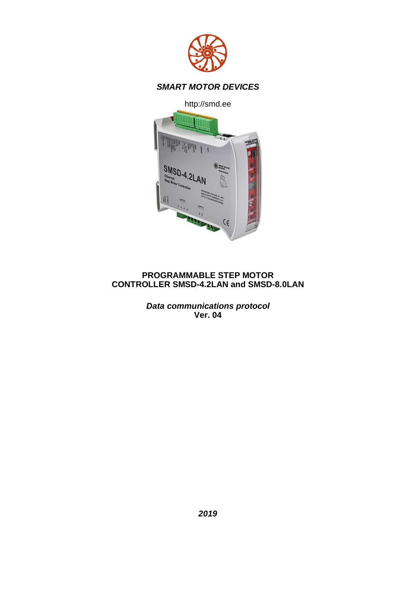

# *SMART MOTOR DEVICES*

http://smd.ee



### **PROGRAMMABLE STEP MOTOR CONTROLLER SMSD-4.2LAN and SMSD-8.0LAN**

*Data communications protocol* **Ver. 04**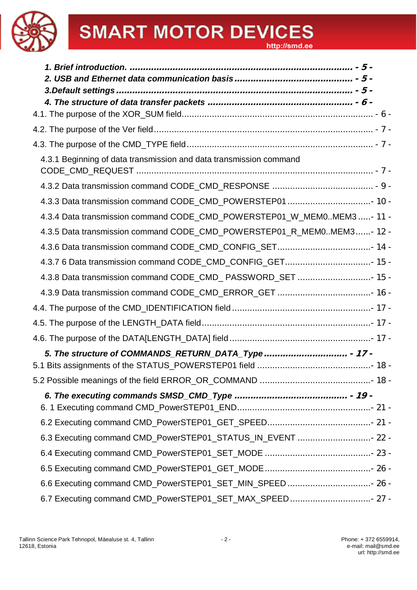| 4.3.1 Beginning of data transmission and data transmission command     |  |
|------------------------------------------------------------------------|--|
|                                                                        |  |
|                                                                        |  |
| 4.3.4 Data transmission command CODE_CMD_POWERSTEP01_W_MEM0MEM3 - 11 - |  |
| 4.3.5 Data transmission command CODE_CMD_POWERSTEP01_R_MEM0MEM3- 12 -  |  |
|                                                                        |  |
|                                                                        |  |
| 4.3.8 Data transmission command CODE_CMD_ PASSWORD_SET  15 -           |  |
|                                                                        |  |
|                                                                        |  |
|                                                                        |  |
|                                                                        |  |
|                                                                        |  |
|                                                                        |  |
|                                                                        |  |
|                                                                        |  |
|                                                                        |  |
| 6.3 Executing command CMD_PowerSTEP01_STATUS_IN_EVENT  22 -            |  |
|                                                                        |  |
|                                                                        |  |
|                                                                        |  |
| 6.7 Executing command CMD_PowerSTEP01_SET_MAX_SPEED 27 -               |  |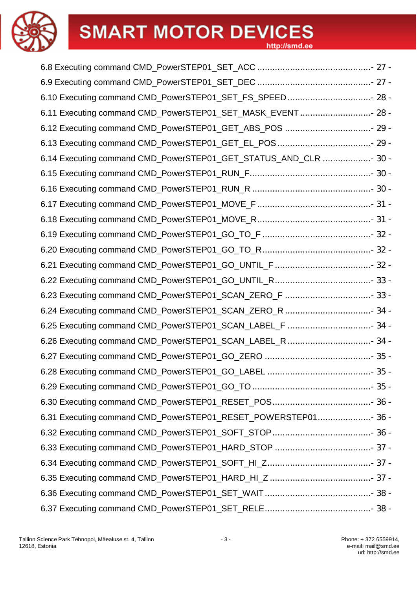6.8 Executing command CMD\_PowerSTEP01\_SET\_ACC ............................................. - 27 -

| 6.10 Executing command CMD_PowerSTEP01_SET_FS_SPEED 28 -        |  |
|-----------------------------------------------------------------|--|
| 6.11 Executing command CMD_PowerSTEP01_SET_MASK_EVENT  28 -     |  |
| 6.12 Executing command CMD_PowerSTEP01_GET_ABS_POS  29 -        |  |
|                                                                 |  |
| 6.14 Executing command CMD_PowerSTEP01_GET_STATUS_AND_CLR  30 - |  |
|                                                                 |  |
|                                                                 |  |
|                                                                 |  |
|                                                                 |  |
|                                                                 |  |
|                                                                 |  |
|                                                                 |  |
|                                                                 |  |
|                                                                 |  |
|                                                                 |  |
| 6.25 Executing command CMD_PowerSTEP01_SCAN_LABEL_F  34 -       |  |
| 6.26 Executing command CMD_PowerSTEP01_SCAN_LABEL_R  34 -       |  |
|                                                                 |  |
|                                                                 |  |
|                                                                 |  |
|                                                                 |  |
| 6.31 Executing command CMD_PowerSTEP01_RESET_POWERSTEP01 36 -   |  |
|                                                                 |  |
|                                                                 |  |
|                                                                 |  |
|                                                                 |  |
|                                                                 |  |
|                                                                 |  |
|                                                                 |  |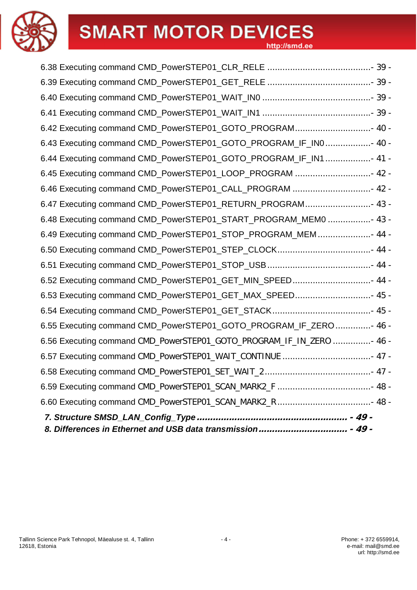

| 6.42 Executing command CMD_PowerSTEP01_GOTO_PROGRAM 40 -             |  |
|----------------------------------------------------------------------|--|
| 6.43 Executing command CMD_PowerSTEP01_GOTO_PROGRAM_IF_IN0 40 -      |  |
| 6.44 Executing command CMD_PowerSTEP01_GOTO_PROGRAM_IF_IN1 41 -      |  |
| 6.45 Executing command CMD_PowerSTEP01_LOOP_PROGRAM  42 -            |  |
| 6.46 Executing command CMD_PowerSTEP01_CALL_PROGRAM  42 -            |  |
| 6.47 Executing command CMD_PowerSTEP01_RETURN_PROGRAM 43 -           |  |
| 6.48 Executing command CMD_PowerSTEP01_START_PROGRAM_MEM0  43 -      |  |
| 6.49 Executing command CMD_PowerSTEP01_STOP_PROGRAM_MEM  44 -        |  |
|                                                                      |  |
|                                                                      |  |
| 6.52 Executing command CMD_PowerSTEP01_GET_MIN_SPEED 44 -            |  |
| 6.53 Executing command CMD_PowerSTEP01_GET_MAX_SPEED 45 -            |  |
|                                                                      |  |
| 6.55 Executing command CMD_PowerSTEP01_GOTO_PROGRAM_IF_ZERO  46 -    |  |
| 6.56 Executing command CMD_PowerSTEP01_GOTO_PROGRAM_IF_IN_ZERO  46 - |  |
| 6.57 Executing command CMD_PowerSTEP01_WAIT_CONTINUE  47 -           |  |
|                                                                      |  |
|                                                                      |  |
|                                                                      |  |
|                                                                      |  |
|                                                                      |  |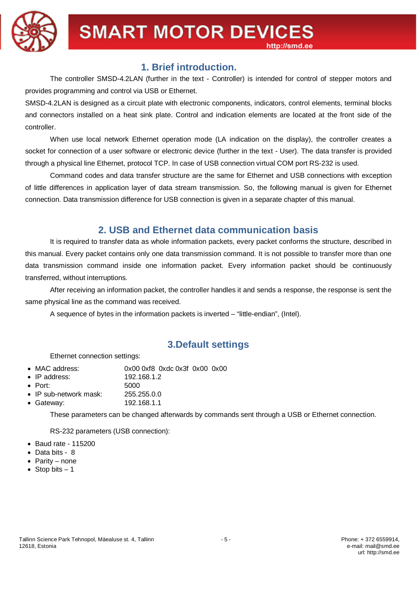

# **1. Brief introduction.**

The controller SMSD-4.2LAN (further in the text - Controller) is intended for control of stepper motors and provides programming and control via USB or Ethernet.

SMSD-4.2LAN is designed as a circuit plate with electronic components, indicators, control elements, terminal blocks and connectors installed on a heat sink plate. Control and indication elements are located at the front side of the controller.

When use local network Ethernet operation mode (LA indication on the display), the controller creates a socket for connection of a user software or electronic device (further in the text - User). The data transfer is provided through a physical line Ethernet, protocol TCP. In case of USB connection virtual COM port RS-232 is used.

Command codes and data transfer structure are the same for Ethernet and USB connections with exception of little differences in application layer of data stream transmission. So, the following manual is given for Ethernet connection. Data transmission difference for USB connection is given in a separate chapter of this manual.

# **2. USB and Ethernet data communication basis**

It is required to transfer data as whole information packets, every packet conforms the structure, described in this manual. Every packet contains only one data transmission command. It is not possible to transfer more than one data transmission command inside one information packet. Every information packet should be continuously transferred, without interruptions.

After receiving an information packet, the controller handles it and sends a response, the response is sent the same physical line as the command was received.

A sequence of bytes in the information packets is inverted – "little-endian", (Intel).

# **3.Default settings**

#### Ethernet connection settings:

- MAC address: 0x00 0xf8 0xdc 0x3f 0x00 0x00
- · IP address: 192.168.1.2
- 
- Port: 5000<br>• IP sub-network mask: 255.255.0.0
- $\bullet$  IP sub-network mask:
- · Gateway: 192.168.1.1

These parameters can be changed afterwards by commands sent through a USB or Ethernet connection.

RS-232 parameters (USB connection):

- · Baud rate 115200
- · Data bits 8
- · Parity none
- Stop bits  $-1$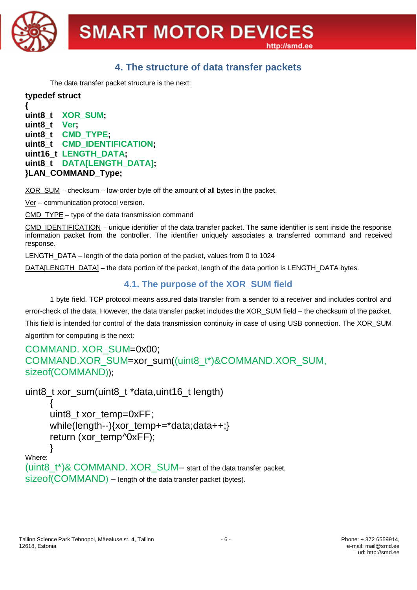

# **4. The structure of data transfer packets**

The data transfer packet structure is the next:

**typedef struct { uint8\_t XOR\_SUM; uint8\_t Ver; uint8\_t CMD\_TYPE; uint8\_t CMD\_IDENTIFICATION; uint16\_t LENGTH\_DATA; uint8\_t DATA[LENGTH\_DATA]; }LAN\_COMMAND\_Type;**

XOR\_SUM – checksum – low-order byte off the amount of all bytes in the packet.

Ver – communication protocol version.

 $\overline{CMD}$   $\overline{TYPE}$  – type of the data transmission command

CMD\_IDENTIFICATION – unique identifier of the data transfer packet. The same identifier is sent inside the response information packet from the controller. The identifier uniquely associates a transferred command and received response.

LENGTH\_DATA – length of the data portion of the packet, values from 0 to 1024

DATA[LENGTH\_DATA] – the data portion of the packet, length of the data portion is LENGTH\_DATA bytes.

# **4.1. The purpose of the XOR\_SUM field**

1 byte field. TCP protocol means assured data transfer from a sender to a receiver and includes control and error-check of the data. However, the data transfer packet includes the XOR\_SUM field – the checksum of the packet. This field is intended for control of the data transmission continuity in case of using USB connection. The XOR\_SUM algorithm for computing is the next:

```
COMMAND. XOR_SUM=0x00;
COMMAND.XOR_SUM=xor_sum((uint8_t*)&COMMAND.XOR_SUM,
sizeof(COMMAND));
```

```
uint8_t xor_sum(uint8_t *data,uint16_t length)
```

```
{
     uint8 t xor temp=0xFF;
     while(length--){xor_temp+=*data;data++;}
     return (xor_temp^0xFF);
     }
Where:
```

```
(uint8_t*)& COMMAND. XOR SUM– start of the data transfer packet,
sizeof(COMMAND) – length of the data transfer packet (bytes).
```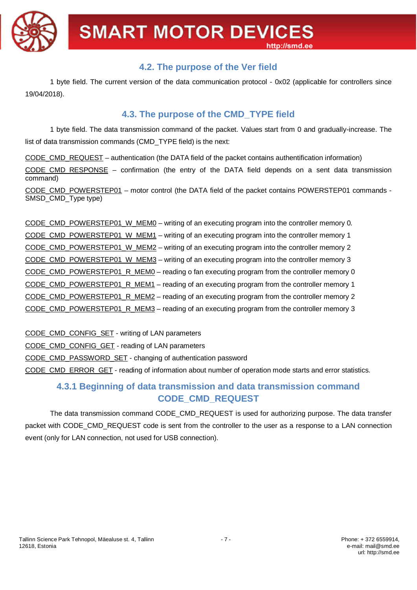

# **4.2. The purpose of the Ver field**

1 byte field. The current version of the data communication protocol - 0x02 (applicable for controllers since 19/04/2018).

# **4.3. The purpose of the CMD\_TYPE field**

1 byte field. The data transmission command of the packet. Values start from 0 and gradually-increase. The list of data transmission commands (CMD\_TYPE field) is the next:

CODE\_CMD\_REQUEST – authentication (the DATA field of the packet contains authentification information)

CODE CMD RESPONSE – confirmation (the entry of the DATA field depends on a sent data transmission command)

CODE\_CMD\_POWERSTEP01 – motor control (the DATA field of the packet contains POWERSTEP01 commands -SMSD\_CMD\_Type type)

CODE\_CMD\_POWERSTEP01\_W\_MEM0 – writing of an executing program into the controller memory 0. CODE\_CMD\_POWERSTEP01\_W\_MEM1 – writing of an executing program into the controller memory 1 CODE\_CMD\_POWERSTEP01\_W\_MEM2 – writing of an executing program into the controller memory 2 CODE\_CMD\_POWERSTEP01\_W\_MEM3 – writing of an executing program into the controller memory 3 CODE\_CMD\_POWERSTEP01\_R\_MEM0 – reading o fan executing program from the controller memory 0 CODE\_CMD\_POWERSTEP01\_R\_MEM1 – reading of an executing program from the controller memory 1 CODE\_CMD\_POWERSTEP01\_R\_MEM2 – reading of an executing program from the controller memory 2 CODE\_CMD\_POWERSTEP01\_R\_MEM3 – reading of an executing program from the controller memory 3

CODE\_CMD\_CONFIG\_SET - writing of LAN parameters

CODE\_CMD\_CONFIG\_GET - reading of LAN parameters

CODE\_CMD\_PASSWORD\_SET - changing of authentication password

CODE\_CMD\_ERROR\_GET - reading of information about number of operation mode starts and error statistics.

# **4.3.1 Beginning of data transmission and data transmission command CODE\_CMD\_REQUEST**

The data transmission command CODE\_CMD\_REQUEST is used for authorizing purpose. The data transfer packet with CODE\_CMD\_REQUEST code is sent from the controller to the user as a response to a LAN connection event (only for LAN connection, not used for USB connection).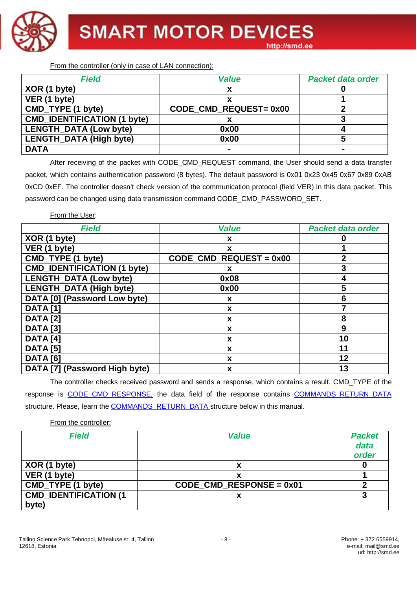

From the controller (only in case of LAN connection):

| <b>Field</b>                       | <b>Value</b>          | <b>Packet data order</b> |
|------------------------------------|-----------------------|--------------------------|
| XOR (1 byte)                       | x                     |                          |
| VER (1 byte)                       |                       |                          |
| CMD_TYPE (1 byte)                  | CODE_CMD_REQUEST=0x00 |                          |
| <b>CMD_IDENTIFICATION (1 byte)</b> |                       |                          |
| <b>LENGTH_DATA (Low byte)</b>      | 0x00                  |                          |
| <b>LENGTH_DATA (High byte)</b>     | 0x00                  |                          |
| <b>DATA</b>                        |                       |                          |

After receiving of the packet with CODE\_CMD\_REQUEST command, the User should send a data transfer packet, which contains authentication password (8 bytes). The default password is 0x01 0x23 0x45 0x67 0x89 0xAB 0xCD 0xEF. The controller doesn't check version of the communication protocol (field VER) in this data packet. This password can be changed using data transmission command CODE\_CMD\_PASSWORD\_SET.

From the User:

| <b>Field</b>                       | <b>Value</b>            | <b>Packet data order</b> |
|------------------------------------|-------------------------|--------------------------|
| XOR (1 byte)                       | X                       |                          |
| VER (1 byte)                       | X                       |                          |
| CMD_TYPE (1 byte)                  | CODE_CMD_REQUEST = 0x00 | 2                        |
| <b>CMD_IDENTIFICATION (1 byte)</b> | х                       | 3                        |
| <b>LENGTH DATA (Low byte)</b>      | 0x08                    | 4                        |
| <b>LENGTH_DATA (High byte)</b>     | 0x00                    | 5                        |
| DATA [0] (Password Low byte)       | X                       | 6                        |
| <b>DATA</b> [1]                    | X                       |                          |
| <b>DATA [2]</b>                    | X                       | 8                        |
| <b>DATA</b> [3]                    | X                       | 9                        |
| <b>DATA</b> [4]                    | X                       | 10                       |
| <b>DATA [5]</b>                    | X                       | 11                       |
| <b>DATA [6]</b>                    | X                       | 12                       |
| DATA [7] (Password High byte)      | X                       | 13                       |

The controller checks received password and sends a response, which contains a result. CMD\_TYPE of the response is CODE CMD RESPONSE, the data field of the response contains COMMANDS RETURN DATA structure. Please, learn the COMMANDS\_RETURN\_DATA structure below in this manual.

|  |  |  | From the controller: |  |
|--|--|--|----------------------|--|
|--|--|--|----------------------|--|

| Field                         | <b>Value</b>                                          | <b>Packet</b><br>data<br>order |
|-------------------------------|-------------------------------------------------------|--------------------------------|
| XOR (1 byte)                  | х                                                     |                                |
| VER (1 byte)                  | x                                                     |                                |
| CMD_TYPE (1 byte)             | $CODE$ <sub>_</sub> $CMD$ <sub>_RESPONSE = 0x01</sub> |                                |
| <b>CMD_IDENTIFICATION (1)</b> | ᄉ                                                     | 3                              |
| byte)                         |                                                       |                                |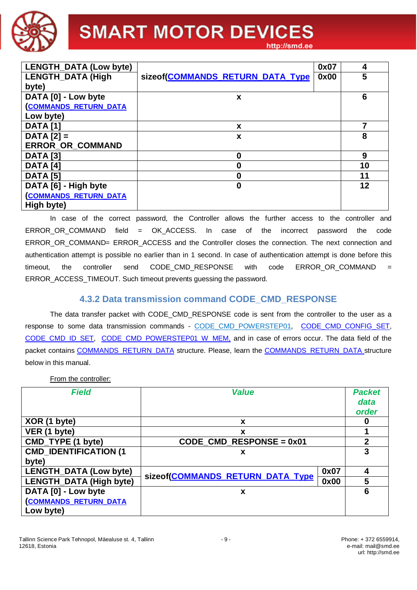

| <b>LENGTH_DATA (Low byte)</b> |                                  | 0x07 | 4  |
|-------------------------------|----------------------------------|------|----|
| <b>LENGTH_DATA (High</b>      | sizeof(COMMANDS_RETURN_DATA_Type | 0x00 | 5  |
| byte)                         |                                  |      |    |
| DATA [0] - Low byte           | X                                |      | 6  |
| <b>(COMMANDS RETURN DATA</b>  |                                  |      |    |
| Low byte)                     |                                  |      |    |
| <b>DATA [1]</b>               | X                                |      | 7  |
| $DATA [2] =$                  | X                                |      | 8  |
| <b>ERROR OR COMMAND</b>       |                                  |      |    |
| <b>DATA [3]</b>               | 0                                |      | 9  |
| DATA <sub>[4]</sub>           | 0                                |      | 10 |
| <b>DATA [5]</b>               | 0                                |      | 11 |
| DATA [6] - High byte          | 0                                |      | 12 |
| <b>COMMANDS RETURN DATA</b>   |                                  |      |    |
| High byte)                    |                                  |      |    |

In case of the correct password, the Controller allows the further access to the controller and ERROR\_OR\_COMMAND field = OK\_ACCESS. In case of the incorrect password the code ERROR\_OR\_COMMAND= ERROR\_ACCESS and the Controller closes the connection. The next connection and authentication attempt is possible no earlier than in 1 second. In case of authentication attempt is done before this timeout, the controller send CODE\_CMD\_RESPONSE with code ERROR\_OR\_COMMAND = ERROR\_ACCESS\_TIMEOUT. Such timeout prevents guessing the password.

# **4.3.2 Data transmission command CODE\_CMD\_RESPONSE**

The data transfer packet with CODE CMD RESPONSE code is sent from the controller to the user as a response to some data transmission commands - CODE CMD POWERSTEP01, CODE CMD CONFIG SET, CODE\_CMD\_ID\_SET, CODE\_CMD\_POWERSTEP01\_W\_MEM, and in case of errors occur. The data field of the packet contains COMMANDS\_RETURN\_DATA structure. Please, learn the COMMANDS\_RETURN\_DATA structure below in this manual.

From the controller:

| <b>Field</b>                   | <b>Value</b>                                          |      | <b>Packet</b><br>data |
|--------------------------------|-------------------------------------------------------|------|-----------------------|
|                                |                                                       |      | order                 |
| XOR (1 byte)                   | X                                                     |      | O                     |
| VER (1 byte)                   | X                                                     |      |                       |
| CMD_TYPE (1 byte)              | $CODE$ <sub>_</sub> $CMD$ <sub>_RESPONSE = 0x01</sub> |      | $\overline{2}$        |
| <b>CMD_IDENTIFICATION (1)</b>  | х                                                     |      | 3                     |
| byte)                          |                                                       |      |                       |
| LENGTH_DATA (Low byte)         | sizeof(COMMANDS_RETURN_DATA_Type                      | 0x07 | 4                     |
| <b>LENGTH_DATA (High byte)</b> |                                                       | 0x00 | 5                     |
| DATA [0] - Low byte            | x                                                     |      | 6                     |
| <b>(COMMANDS_RETURN_DATA</b>   |                                                       |      |                       |
| Low byte)                      |                                                       |      |                       |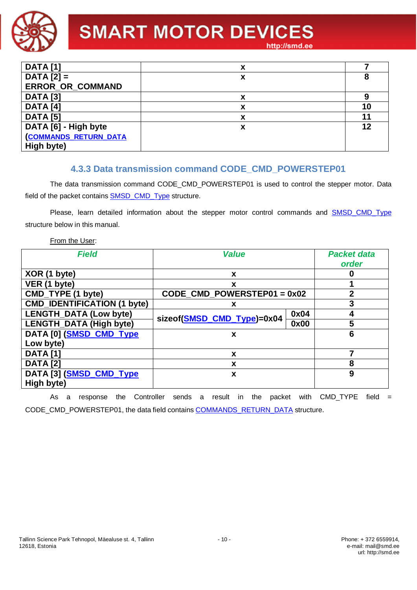

| <b>DATA</b> [1]             | v<br>ᄉ |    |
|-----------------------------|--------|----|
| $DATA [2] =$                | x      | 8  |
| ERROR_OR_COMMAND            |        |    |
| <b>DATA</b> [3]             | v<br>Λ |    |
| <b>DATA</b> [4]             |        | 10 |
| <b>DATA</b> [5]             | х      | 11 |
| DATA [6] - High byte        | x      | 12 |
| <b>COMMANDS RETURN DATA</b> |        |    |
| High byte)                  |        |    |

# **4.3.3 Data transmission command CODE\_CMD\_POWERSTEP01**

The data transmission command CODE\_CMD\_POWERSTEP01 is used to control the stepper motor. Data field of the packet contains **SMSD\_CMD\_Type structure.** 

Please, learn detailed information about the stepper motor control commands and **SMSD\_CMD\_Type** structure below in this manual.

#### From the User:

| <b>Field</b>                       | <b>Value</b>                                             |      | <b>Packet data</b><br>order |
|------------------------------------|----------------------------------------------------------|------|-----------------------------|
| XOR (1 byte)                       | X                                                        |      |                             |
| VER (1 byte)                       | x                                                        |      |                             |
| CMD_TYPE (1 byte)                  | $CODE$ <sub>_</sub> $CMD$ <sub>_POWERSTEP01 = 0x02</sub> |      | 2                           |
| <b>CMD_IDENTIFICATION (1 byte)</b> | х                                                        |      | 3                           |
| <b>LENGTH_DATA (Low byte)</b>      | sizeof(SMSD_CMD_Type)=0x04                               | 0x04 |                             |
| <b>LENGTH_DATA (High byte)</b>     |                                                          | 0x00 | 5                           |
| DATA [0] (SMSD_CMD_Type            | x                                                        |      | 6                           |
| Low byte)                          |                                                          |      |                             |
| <b>DATA [1]</b>                    | X                                                        |      |                             |
| <b>DATA</b> [2]                    | X                                                        |      | 8                           |
| DATA [3] (SMSD CMD Type            | X                                                        |      | 9                           |
| High byte)                         |                                                          |      |                             |

As a response the Controller sends a result in the packet with CMD-TYPE field  $=$ CODE\_CMD\_POWERSTEP01, the data field contains COMMANDS\_RETURN\_DATA structure.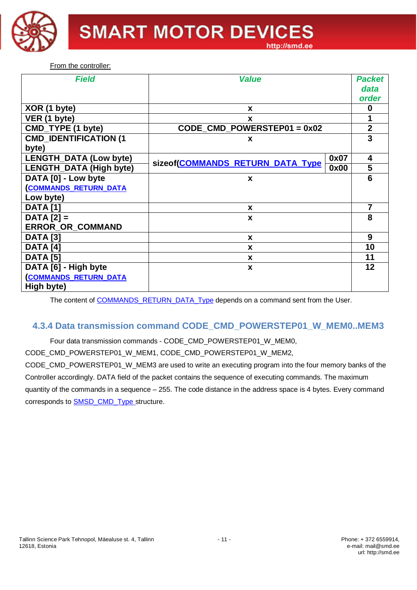

From the controller:

| <b>Field</b>                  | <b>Value</b>                                             |      | <b>Packet</b>  |
|-------------------------------|----------------------------------------------------------|------|----------------|
|                               |                                                          |      | data           |
|                               |                                                          |      | order          |
| XOR (1 byte)                  | X                                                        |      | 0              |
| VER (1 byte)                  | X                                                        |      |                |
| CMD_TYPE (1 byte)             | $CODE$ <sub>_</sub> $CMD$ <sub>_POWERSTEP01 = 0x02</sub> |      | $\mathbf{2}$   |
| <b>CMD_IDENTIFICATION (1</b>  | X                                                        |      | 3              |
| byte)                         |                                                          |      |                |
| <b>LENGTH_DATA (Low byte)</b> | sizeof(COMMANDS_RETURN_DATA_Type                         | 0x07 | 4              |
| LENGTH_DATA (High byte)       |                                                          | 0x00 | 5              |
| DATA [0] - Low byte           | X                                                        |      | 6              |
| <b>COMMANDS RETURN DATA</b>   |                                                          |      |                |
| Low byte)                     |                                                          |      |                |
| <b>DATA</b> [1]               | X                                                        |      | $\overline{7}$ |
| $DATA [2] =$                  | X                                                        |      | 8              |
| ERROR_OR_COMMAND              |                                                          |      |                |
| <b>DATA</b> [3]               | X                                                        |      | 9              |
| <b>DATA</b> [4]               | X                                                        |      | 10             |
| <b>DATA</b> [5]               | X                                                        |      | 11             |
| DATA [6] - High byte          | X                                                        |      | 12             |
| <b>COMMANDS RETURN DATA</b>   |                                                          |      |                |
| High byte)                    |                                                          |      |                |

The content of COMMANDS\_RETURN\_DATA\_Type depends on a command sent from the User.

# **4.3.4 Data transmission command CODE\_CMD\_POWERSTEP01\_W\_MEM0..MEM3**

Four data transmission commands - CODE\_CMD\_POWERSTEP01\_W\_MEM0,

CODE\_CMD\_POWERSTEP01\_W\_MEM1, CODE\_CMD\_POWERSTEP01\_W\_MEM2,

CODE\_CMD\_POWERSTEP01\_W\_MEM3 are used to write an executing program into the four memory banks of the Controller accordingly. DATA field of the packet contains the sequence of executing commands. The maximum quantity of the commands in a sequence – 255. The code distance in the address space is 4 bytes. Every command corresponds to **SMSD\_CMD\_Type\_structure.**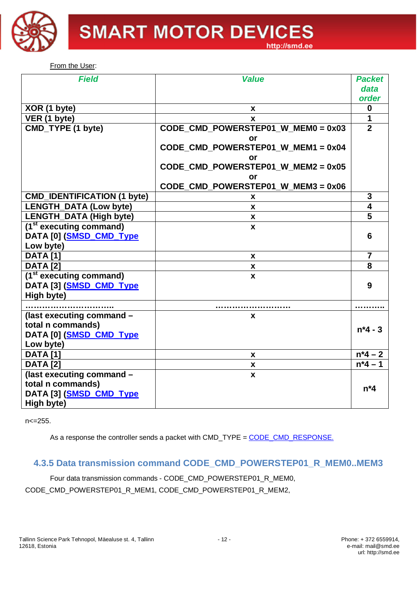

From the User:

| <b>Field</b>                        | <b>Value</b>                         | <b>Packet</b>  |
|-------------------------------------|--------------------------------------|----------------|
|                                     |                                      | data           |
|                                     |                                      | order          |
| XOR (1 byte)                        | x                                    | 0              |
| VER (1 byte)                        | x                                    | 1              |
| CMD_TYPE (1 byte)                   | CODE CMD POWERSTEP01 W MEM0 = 0x03   | $\overline{2}$ |
|                                     | or                                   |                |
|                                     | CODE_CMD_POWERSTEP01_W_MEM1 = 0x04   |                |
|                                     | or                                   |                |
|                                     | CODE_CMD_POWERSTEP01_W_MEM2 = 0x05   |                |
|                                     | or                                   |                |
|                                     | CODE CMD POWERSTEP01 W MEM3 = $0x06$ |                |
| <b>CMD_IDENTIFICATION (1 byte)</b>  | x                                    | 3              |
| <b>LENGTH_DATA (Low byte)</b>       | X                                    | 4              |
| <b>LENGTH_DATA (High byte)</b>      | X                                    | 5              |
| (1 <sup>st</sup> executing command) | X                                    |                |
| DATA [0] (SMSD CMD Type             |                                      | 6              |
| Low byte)                           |                                      |                |
| <b>DATA</b> [1]                     | <b>X</b>                             | $\overline{7}$ |
| <b>DATA [2]</b>                     | X                                    | 8              |
| (1 <sup>st</sup> executing command) | X                                    |                |
| DATA [3] (SMSD_CMD_Type             |                                      | 9              |
| High byte)                          |                                      |                |
|                                     |                                      |                |
| (last executing command -           | x                                    |                |
| total n commands)                   |                                      | $n*4 - 3$      |
| DATA [0] (SMSD CMD Type             |                                      |                |
| Low byte)                           |                                      |                |
| <b>DATA [1]</b>                     | x                                    | $n*4 - 2$      |
| <b>DATA</b> [2]                     | $\boldsymbol{x}$                     | $n*4 - 1$      |
| (last executing command -           | X                                    |                |
| total n commands)                   |                                      | $n^*4$         |
| DATA [3] (SMSD_CMD_Type             |                                      |                |
| High byte)                          |                                      |                |

 $n < = 255$ .

As a response the controller sends a packet with CMD\_TYPE = CODE\_CMD\_RESPONSE.

# **4.3.5 Data transmission command CODE\_CMD\_POWERSTEP01\_R\_MEM0..MEM3**

Four data transmission commands - CODE\_CMD\_POWERSTEP01\_R\_MEM0, CODE\_CMD\_POWERSTEP01\_R\_MEM1, CODE\_CMD\_POWERSTEP01\_R\_MEM2,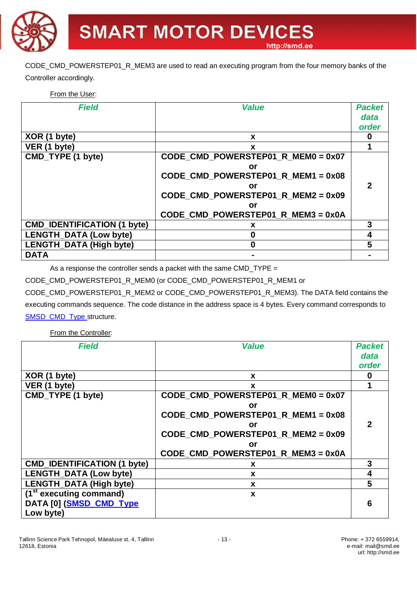CODE\_CMD\_POWERSTEP01\_R\_MEM3 are used to read an executing program from the four memory banks of the Controller accordingly.

#### From the User:

| <b>Field</b>                       | <b>Value</b>                         | <b>Packet</b>              |
|------------------------------------|--------------------------------------|----------------------------|
|                                    |                                      | data                       |
|                                    |                                      | order                      |
| XOR (1 byte)                       | X                                    |                            |
| VER (1 byte)                       | X                                    |                            |
| CMD_TYPE (1 byte)                  | CODE_CMD_POWERSTEP01_R_MEM0 = 0x07   |                            |
|                                    | or                                   |                            |
|                                    | CODE CMD POWERSTEP01 R MEM1 = $0x08$ |                            |
|                                    | or                                   | $\boldsymbol{\mathcal{P}}$ |
|                                    | CODE CMD POWERSTEP01 R MEM2 = $0x09$ |                            |
|                                    | or                                   |                            |
|                                    | CODE CMD POWERSTEP01 R MEM3 = 0x0A   |                            |
| <b>CMD_IDENTIFICATION (1 byte)</b> | x                                    | 3                          |
| <b>LENGTH_DATA (Low byte)</b>      |                                      | 4                          |
| <b>LENGTH_DATA (High byte)</b>     |                                      | 5                          |
| <b>DATA</b>                        |                                      |                            |

As a response the controller sends a packet with the same CMD\_TYPE =

CODE\_CMD\_POWERSTEP01\_R\_MEM0 (or CODE\_CMD\_POWERSTEP01\_R\_MEM1 or

CODE\_CMD\_POWERSTEP01\_R\_MEM2 or CODE\_CMD\_POWERSTEP01\_R\_MEM3). The DATA field contains the executing commands sequence. The code distance in the address space is 4 bytes. Every command corresponds to SMSD\_CMD\_Type\_structure.

From the Controller:

| <b>Field</b>                                           | <b>Value</b>                         | <b>Packet</b>  |
|--------------------------------------------------------|--------------------------------------|----------------|
|                                                        |                                      | data           |
|                                                        |                                      | order          |
| XOR (1 byte)                                           | X                                    | 0              |
| VER (1 byte)                                           | X                                    | 1              |
| CMD_TYPE (1 byte)                                      | CODE_CMD_POWERSTEP01_R_MEM0 = 0x07   |                |
|                                                        | or                                   |                |
|                                                        | CODE_CMD_POWERSTEP01_R_MEM1 = 0x08   |                |
|                                                        | or                                   | $\overline{2}$ |
|                                                        | CODE CMD POWERSTEP01 R MEM2 = $0x09$ |                |
|                                                        | or                                   |                |
|                                                        | CODE_CMD_POWERSTEP01_R_MEM3 = 0x0A   |                |
| <b>CMD_IDENTIFICATION (1 byte)</b>                     | X                                    | 3              |
| <b>LENGTH_DATA (Low byte)</b>                          | X                                    | 4              |
| <b>LENGTH_DATA (High byte)</b>                         | X                                    | 5              |
| $\overline{(1^{\text{st}} \text{ executing command})}$ | X                                    |                |
| DATA [0] (SMSD_CMD_Type                                |                                      | 6              |
| Low byte)                                              |                                      |                |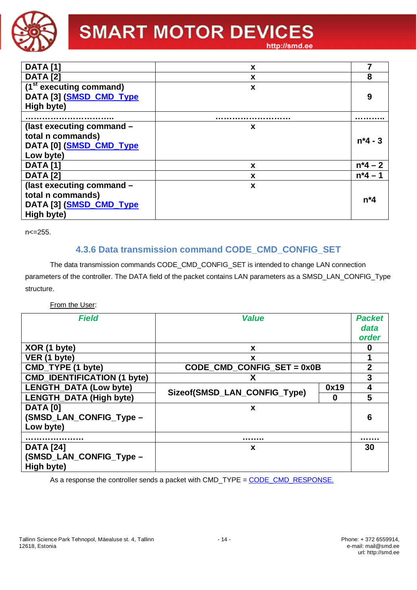

# **SMART MOTOR DEVICES**

http://smd.ee

| <b>DATA</b> [1]                    | X |           |
|------------------------------------|---|-----------|
| <b>DATA</b> [2]                    | X | 8         |
| $\overline{13}$ executing command) | X |           |
| DATA [3] (SMSD CMD Type            |   | 9         |
| High byte)                         |   |           |
|                                    |   | .         |
| (last executing command -          | X |           |
| total n commands)                  |   | $n*4 - 3$ |
| DATA [0] (SMSD_CMD_Type            |   |           |
| Low byte)                          |   |           |
| <b>DATA</b> [1]                    | X | $n*4 - 2$ |
| <b>DATA [2]</b>                    | X | $n*4 -$   |
| (last executing command -          | X |           |
| total n commands)                  |   | $n^*4$    |
| DATA [3] (SMSD_CMD_Type            |   |           |
| High byte)                         |   |           |

n <= 255.

# **4.3.6 Data transmission command CODE\_CMD\_CONFIG\_SET**

The data transmission commands CODE CMD CONFIG SET is intended to change LAN connection parameters of the controller. The DATA field of the packet contains LAN parameters as a SMSD\_LAN\_CONFIG\_Type structure.

#### From the User:

| <b>Field</b>                                              | <b>Value</b>                      |      | <b>Packet</b><br>data<br>order |
|-----------------------------------------------------------|-----------------------------------|------|--------------------------------|
| XOR (1 byte)                                              | X                                 |      | 0                              |
| VER (1 byte)                                              | X                                 |      |                                |
| CMD_TYPE (1 byte)                                         | CODE_CMD_CONFIG_SET = 0x0B        |      | $\mathbf{2}$                   |
| <b>CMD_IDENTIFICATION (1 byte)</b>                        | х                                 |      | 3                              |
| <b>LENGTH_DATA (Low byte)</b>                             |                                   | 0x19 | 4                              |
| <b>LENGTH_DATA (High byte)</b>                            | Sizeof(SMSD_LAN_CONFIG_Type)<br>0 |      | 5                              |
| <b>DATA [0]</b><br>(SMSD_LAN_CONFIG_Type -<br>Low byte)   | X                                 |      | 6                              |
|                                                           | .                                 |      |                                |
| <b>DATA</b> [24]<br>(SMSD_LAN_CONFIG_Type -<br>High byte) | X                                 |      | 30                             |

As a response the controller sends a packet with CMD\_TYPE = CODE\_CMD\_RESPONSE.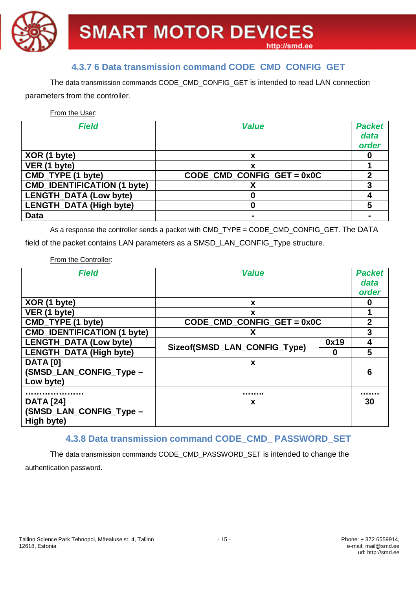

# **4.3.7 6 Data transmission command CODE\_CMD\_CONFIG\_GET**

The data transmission commands CODE\_CMD\_CONFIG\_GET is intended to read LAN connection parameters from the controller.

From the User:

| <b>Field</b>                       | <b>Value</b>                 | <b>Packet</b><br>data<br>order |
|------------------------------------|------------------------------|--------------------------------|
| XOR (1 byte)                       | x                            |                                |
| VER (1 byte)                       |                              |                                |
| CMD_TYPE (1 byte)                  | CODE CMD CONFIG GET = $0x0C$ |                                |
| <b>CMD_IDENTIFICATION (1 byte)</b> |                              |                                |
| <b>LENGTH_DATA (Low byte)</b>      |                              |                                |
| <b>LENGTH DATA (High byte)</b>     |                              | 5                              |
| <b>Data</b>                        |                              |                                |

As a response the controller sends a packet with CMD\_TYPE = CODE\_CMD\_CONFIG\_GET. The DATA

field of the packet contains LAN parameters as a SMSD\_LAN\_CONFIG\_Type structure.

From the Controller:

| <b>Field</b>                                              | <b>Value</b>                      |      | <b>Packet</b><br>data<br>order |
|-----------------------------------------------------------|-----------------------------------|------|--------------------------------|
| XOR (1 byte)                                              | X                                 |      | 0                              |
| VER (1 byte)                                              | X                                 |      | 1                              |
| CMD_TYPE (1 byte)                                         | CODE_CMD_CONFIG_GET = 0x0C        |      | $\mathbf{2}$                   |
| <b>CMD_IDENTIFICATION (1 byte)</b>                        |                                   |      | 3                              |
| <b>LENGTH_DATA (Low byte)</b>                             |                                   | 0x19 | 4                              |
| <b>LENGTH_DATA (High byte)</b>                            | Sizeof(SMSD_LAN_CONFIG_Type)<br>0 |      | 5                              |
| <b>DATA</b> [0]<br>(SMSD_LAN_CONFIG_Type -<br>Low byte)   | X                                 |      | 6                              |
|                                                           | .                                 |      | .                              |
| <b>DATA</b> [24]<br>(SMSD_LAN_CONFIG_Type -<br>High byte) | X                                 |      | 30                             |

# **4.3.8 Data transmission command CODE\_CMD\_ PASSWORD\_SET**

The data transmission commands CODE\_CMD\_PASSWORD\_SET is intended to change the authentication password.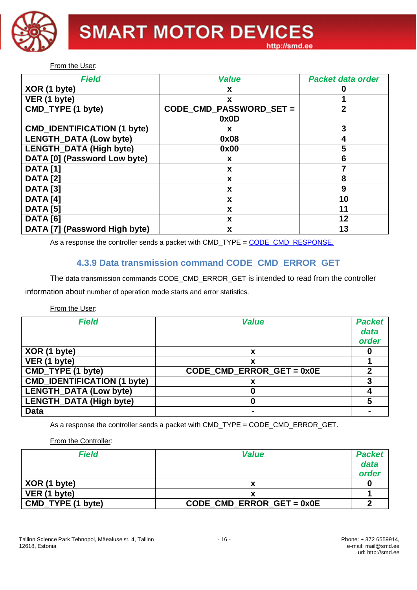

From the User:

| <b>Field</b>                       | <b>Value</b>            | <b>Packet data order</b> |
|------------------------------------|-------------------------|--------------------------|
| XOR (1 byte)                       | X                       |                          |
| VER (1 byte)                       | X                       |                          |
| CMD_TYPE (1 byte)                  | CODE_CMD_PASSWORD_SET = | $\overline{2}$           |
|                                    | 0x0D                    |                          |
| <b>CMD IDENTIFICATION (1 byte)</b> | X                       | 3                        |
| <b>LENGTH_DATA (Low byte)</b>      | 0x08                    | 4                        |
| LENGTH_DATA (High byte)            | 0x00                    | 5                        |
| DATA [0] (Password Low byte)       | X                       | 6                        |
| <b>DATA [1]</b>                    | X                       |                          |
| <b>DATA</b> [2]                    | X                       | 8                        |
| <b>DATA</b> [3]                    | X                       | 9                        |
| <b>DATA</b> [4]                    | X                       | 10                       |
| <b>DATA [5]</b>                    | X                       | 11                       |
| <b>DATA</b> [6]                    | X                       | 12                       |
| DATA [7] (Password High byte)      | X                       | 13                       |

As a response the controller sends a packet with CMD\_TYPE = CODE\_CMD\_RESPONSE.

# **4.3.9 Data transmission command CODE\_CMD\_ERROR\_GET**

The data transmission commands CODE\_CMD\_ERROR\_GET is intended to read from the controller information about number of operation mode starts and error statistics.

#### From the User:

| <b>Field</b>                       | <b>Value</b>                | <b>Packet</b><br>data<br>order |
|------------------------------------|-----------------------------|--------------------------------|
| XOR (1 byte)                       | x                           |                                |
| VER (1 byte)                       |                             |                                |
| CMD_TYPE (1 byte)                  | CODE CMD ERROR GET = $0x0E$ |                                |
| <b>CMD_IDENTIFICATION (1 byte)</b> |                             |                                |
| LENGTH_DATA (Low byte)             |                             |                                |
| LENGTH_DATA (High byte)            |                             |                                |
| <b>Data</b>                        |                             |                                |

As a response the controller sends a packet with CMD\_TYPE = CODE\_CMD\_ERROR\_GET.

From the Controller:

| <b>Field</b>      | <b>Value</b>                | <b>Packet</b> |
|-------------------|-----------------------------|---------------|
|                   |                             | data          |
|                   |                             | order         |
| XOR (1 byte)      |                             |               |
| VER (1 byte)      |                             |               |
| CMD_TYPE (1 byte) | $CODE$ CMD ERROR GET = 0x0E |               |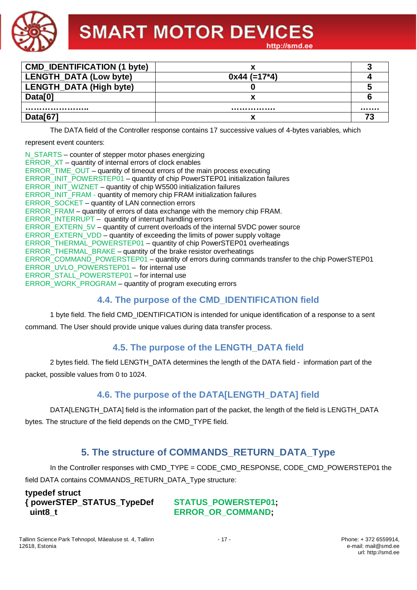

| <b>CMD IDENTIFICATION (1 byte)</b> |                |  |
|------------------------------------|----------------|--|
| <b>LENGTH_DATA (Low byte)</b>      | $0x44 (=17*4)$ |  |
| LENGTH_DATA (High byte)            |                |  |
| Data[0]                            |                |  |
|                                    |                |  |
| Data[67]                           |                |  |

The DATA field of the Controller response contains 17 successive values of 4-bytes variables, which

represent event counters:

| N_STARTS – counter of stepper motor phases energizing                                           |
|-------------------------------------------------------------------------------------------------|
| ERROR XT – quantity of internal errors of clock enables                                         |
| ERROR_TIME_OUT – quantity of timeout errors of the main process executing                       |
| ERROR_INIT_POWERSTEP01 - quantity of chip PowerSTEP01 initialization failures                   |
| ERROR_INIT_WIZNET – quantity of chip W5500 initialization failures                              |
| ERROR_INIT_FRAM - quantity of memory chip FRAM initialization failures                          |
| ERROR_SOCKET - quantity of LAN connection errors                                                |
| ERROR FRAM – quantity of errors of data exchange with the memory chip FRAM.                     |
| ERROR_INTERRUPT – quantity of interrupt handling errors                                         |
| ERROR_EXTERN_5V – quantity of current overloads of the internal 5VDC power source               |
| ERROR EXTERN VDD – quantity of exceeding the limits of power supply voltage                     |
| ERROR_THERMAL_POWERSTEP01 - quantity of chip PowerSTEP01 overheatings                           |
| ERROR_THERMAL_BRAKE – quantity of the brake resistor overheatings                               |
| ERROR_COMMAND_POWERSTEP01 - quantity of errors during commands transfer to the chip PowerSTEP01 |
| ERROR UVLO POWERSTEP01 - for internal use                                                       |
| ERROR STALL POWERSTEP01 - for internal use                                                      |
| ERROR_WORK_PROGRAM - quantity of program executing errors                                       |

# **4.4. The purpose of the CMD\_IDENTIFICATION field**

1 byte field. The field CMD\_IDENTIFICATION is intended for unique identification of a response to a sent command. The User should provide unique values during data transfer process.

# **4.5. The purpose of the LENGTH\_DATA field**

2 bytes field. The field LENGTH\_DATA determines the length of the DATA field - information part of the packet, possible values from 0 to 1024.

# **4.6. The purpose of the DATA[LENGTH\_DATA] field**

DATA[LENGTH\_DATA] field is the information part of the packet, the length of the field is LENGTH\_DATA bytes. The structure of the field depends on the CMD\_TYPE field.

# **5. The structure of COMMANDS\_RETURN\_DATA\_Type**

In the Controller responses with CMD\_TYPE = CODE\_CMD\_RESPONSE, CODE\_CMD\_POWERSTEP01 the field DATA contains COMMANDS\_RETURN\_DATA\_Type structure:

**typedef struct { powerSTEP\_STATUS\_TypeDef STATUS\_POWERSTEP01; uint8 t ERROR OR COMMAND**;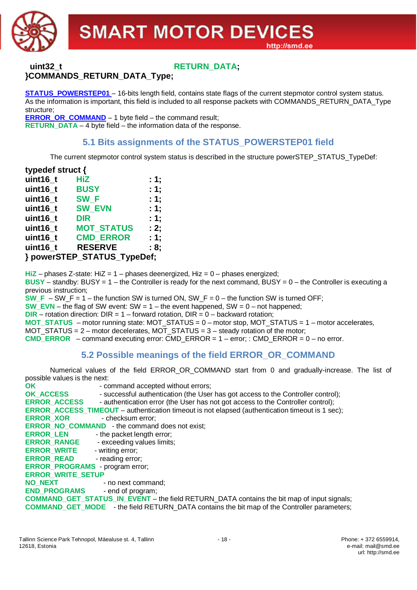

# **uint32** t **RETURN** DATA; **}COMMANDS\_RETURN\_DATA\_Type;**

**STATUS POWERSTEP01** – 16-bits length field, contains state flags of the current stepmotor control system status. As the information is important, this field is included to all response packets with COMMANDS\_RETURN\_DATA\_Type structure;

**ERROR\_OR\_COMMAND** – 1 byte field – the command result; **RETURN\_DATA** – 4 byte field – the information data of the response.

# **5.1 Bits assignments of the STATUS\_POWERSTEP01 field**

The current stepmotor control system status is described in the structure powerSTEP\_STATUS\_TypeDef:

| typedef struct {            |                   |      |  |  |  |  |  |  |
|-----------------------------|-------------------|------|--|--|--|--|--|--|
| uint16_t                    | <b>HiZ</b>        | : 1; |  |  |  |  |  |  |
| uint16 t                    | <b>BUSY</b>       | : 1; |  |  |  |  |  |  |
| uint16_t                    | SW <sub>F</sub>   | : 1; |  |  |  |  |  |  |
| uint16 t                    | <b>SW EVN</b>     | : 1; |  |  |  |  |  |  |
| uint16_t                    | <b>DIR</b>        | : 1; |  |  |  |  |  |  |
| uint $16_t$                 | <b>MOT STATUS</b> | : 2; |  |  |  |  |  |  |
| uint16_t                    | <b>CMD ERROR</b>  | : 1: |  |  |  |  |  |  |
| uint16 t                    | <b>RESERVE</b>    | : 8: |  |  |  |  |  |  |
| } powerSTEP_STATUS_TypeDef; |                   |      |  |  |  |  |  |  |

**HiZ** – phases Z-state: HiZ = 1 – phases deenergized, Hiz = 0 – phases energized; **BUSY** – standby: BUSY = 1 – the Controller is ready for the next command, BUSY = 0 – the Controller is executing a previous instruction; **SW\_F** – SW\_F = 1 – the function SW is turned ON, SW\_F =  $0$  – the function SW is turned OFF; **SW\_EVN** – the flag of SW event:  $SW = 1$  – the event happened, SW = 0 – not happened; **DIR** – rotation direction: DIR = 1 – forward rotation, DIR =  $0$  – backward rotation; **MOT\_STATUS** – motor running state: MOT\_STATUS = 0 – motor stop, MOT\_STATUS = 1 – motor accelerates, MOT\_STATUS = 2 – motor decelerates, MOT\_STATUS = 3 – steady rotation of the motor; **CMD\_ERROR** – command executing error: CMD\_ERROR = 1 – error; : CMD\_ERROR = 0 – no error.

# **5.2 Possible meanings of the field ERROR\_OR\_COMMAND**

Numerical values of the field ERROR\_OR\_COMMAND start from 0 and gradually-increase. The list of possible values is the next:

**OK** - command accepted without errors; **OK\_ACCESS** - successful authentication (the User has got access to the Controller control); **ERROR\_ACCESS** - authentication error (the User has not got access to the Controller control); **ERROR\_ACCESS\_TIMEOUT** – authentication timeout is not elapsed (authentication timeout is 1 sec); **ERROR XOR** - checksum error; **ERROR\_NO\_COMMAND\_ - the command does not exist; ERROR LEN** - the packet length error; **ERROR\_RANGE** - exceeding values limits; **ERROR\_WRITE** - writing error; **ERROR\_READ** - reading error; **ERROR\_PROGRAMS** - program error; **ERROR\_WRITE\_SETUP NO\_NEXT** - no next command; **END\_PROGRAMS** - end of program; **COMMAND\_GET\_STATUS\_IN\_EVENT** – the field RETURN\_DATA contains the bit map of input signals; **COMMAND\_GET\_MODE** - the field RETURN\_DATA contains the bit map of the Controller parameters;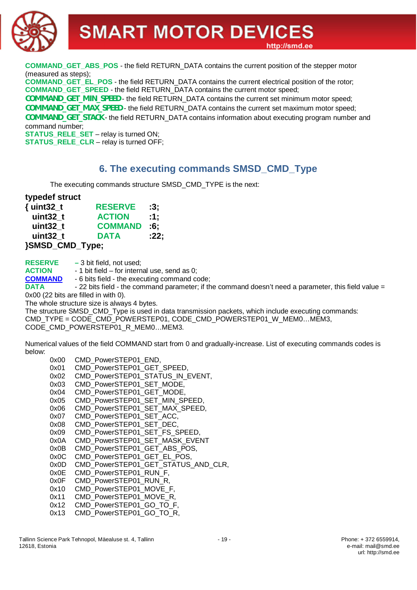**COMMAND\_GET\_ABS\_POS** - the field RETURN\_DATA contains the current position of the stepper motor (measured as steps);

**COMMAND\_GET\_EL\_POS** - the field RETURN\_DATA contains the current electrical position of the rotor; **COMMAND\_GET\_SPEED** - the field RETURN\_DATA contains the current motor speed;

**COMMAND\_GET\_MIN\_SPEED** - the field RETURN\_DATA contains the current set minimum motor speed;

**COMMAND\_GET\_MAX\_SPEED** - the field RETURN\_DATA contains the current set maximum motor speed;

**COMMAND\_GET\_STACK** - the field RETURN\_DATA contains information about executing program number and command number;

**STATUS\_RELE\_SET** – relay is turned ON; **STATUS RELE CLR** – relay is turned OFF;

# **6. The executing commands SMSD\_CMD\_Type**

The executing commands structure SMSD\_CMD\_TYPE is the next:

#### **typedef struct**

| ${unit32_t}$    | <b>RESERVE</b> | :3:  |
|-----------------|----------------|------|
| uint32 t        | <b>ACTION</b>  | :1:  |
| uint32 t        | <b>COMMAND</b> | :6:  |
| uint32 t        | <b>DATA</b>    | :22: |
| }SMSD_CMD_Type; |                |      |

**RESERVE –** 3 bit field, not used;

**ACTION** - 1 bit field – for internal use, send as 0;

**COMMAND** - 6 bits field - the executing command code;

**DATA** - 22 bits field - the command parameter; if the command doesn't need a parameter, this field value = 0x00 (22 bits are filled in with 0).

The whole structure size is always 4 bytes.

The structure SMSD\_CMD\_Type is used in data transmission packets, which include executing commands: CMD\_TYPE = CODE\_CMD\_POWERSTEP01, CODE\_CMD\_POWERSTEP01\_W\_MEM0…MEM3, CODE\_CMD\_POWERSTEP01\_R\_MEM0...MEM3.

Numerical values of the field COMMAND start from 0 and gradually-increase. List of executing commands codes is below:

0x00 CMD PowerSTEP01 END. 0x01 CMD PowerSTEP01 GET SPEED, 0x02 CMD\_PowerSTEP01\_STATUS\_IN\_EVENT, 0x03 CMD\_PowerSTEP01\_SET\_MODE, 0x04 CMD PowerSTEP01 GET MODE, 0x05 CMD\_PowerSTEP01\_SET\_MIN\_SPEED, 0x06 CMD\_PowerSTEP01\_SET\_MAX\_SPEED, 0x07 CMD\_PowerSTEP01\_SET\_ACC, 0x08 CMD PowerSTEP01 SET DEC. 0x09 CMD PowerSTEP01 SET FS SPEED, 0x0A CMD\_PowerSTEP01\_SET\_MASK\_EVENT 0x0B CMD\_PowerSTEP01\_GET\_ABS\_POS, 0x0C CMD\_PowerSTEP01\_GET\_EL\_POS, 0x0D CMD PowerSTEP01 GET STATUS AND CLR, 0x0E CMD PowerSTEP01 RUN F, 0x0F CMD PowerSTEP01 RUN R, 0x10 CMD PowerSTEP01 MOVE F. 0x11 CMD PowerSTEP01 MOVE R, 0x12 CMD PowerSTEP01 GO TO F, 0x13 CMD PowerSTEP01 GO TO R,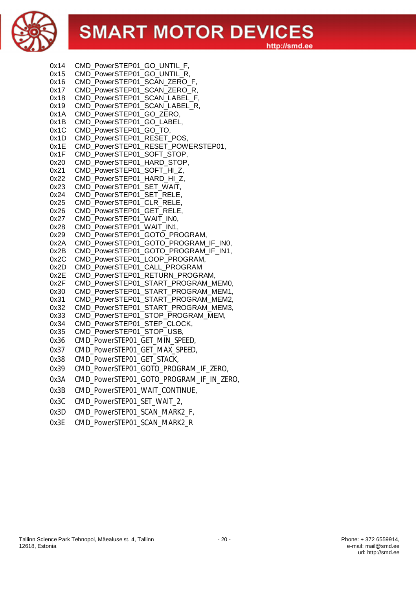

| 0x14         | CMD_PowerSTEP01_GO_UNTIL_F,                                                |
|--------------|----------------------------------------------------------------------------|
| 0x15         | CMD_PowerSTEP01_GO_UNTIL_R,                                                |
| 0x16         | CMD PowerSTEP01 SCAN ZERO F,                                               |
| 0x17         | CMD PowerSTEP01_SCAN_ZERO_R,                                               |
| 0x18         | CMD_PowerSTEP01_SCAN_LABEL_F,                                              |
| 0x19         | CMD_PowerSTEP01_SCAN_LABEL_R,                                              |
| 0x1A         | CMD PowerSTEP01 GO ZERO,                                                   |
| 0x1B         | CMD_PowerSTEP01_GO_LABEL,                                                  |
| 0x1C         | CMD_PowerSTEP01_GO_TO,                                                     |
| 0x1D         | CMD PowerSTEP01_RESET_POS,                                                 |
| 0x1E         | CMD PowerSTEP01 RESET POWERSTEP01,                                         |
| 0x1F         | CMD_PowerSTEP01_SOFT_STOP,                                                 |
| 0x20         | CMD_PowerSTEP01_HARD_STOP,                                                 |
| 0x21         | CMD_PowerSTEP01_SOFT_HI_Z,                                                 |
| 0x22         | CMD PowerSTEP01 HARD HI Z,                                                 |
| 0x23         | CMD_PowerSTEP01_SET_WAIT,                                                  |
| 0x24         | CMD_PowerSTEP01_SET_RELE,                                                  |
| 0x25         | CMD PowerSTEP01 CLR RELE,                                                  |
| 0x26         | CMD_PowerSTEP01_GET_RELE,                                                  |
| 0x27         | CMD PowerSTEP01 WAIT IN0,                                                  |
| 0x28         | CMD PowerSTEP01 WAIT IN1,                                                  |
| 0x29         | CMD_PowerSTEP01_GOTO_PROGRAM,                                              |
| 0x2A         | CMD_PowerSTEP01_GOTO_PROGRAM_IF_IN0,                                       |
| 0x2B         | CMD_PowerSTEP01_GOTO_PROGRAM_IF_IN1,                                       |
| 0x2C         | CMD_PowerSTEP01_LOOP_PROGRAM,                                              |
| 0x2D         | CMD_PowerSTEP01_CALL_PROGRAM                                               |
| 0x2E         | CMD PowerSTEP01 RETURN PROGRAM,                                            |
| 0x2F         | CMD PowerSTEP01 START PROGRAM MEM0,                                        |
| 0x30<br>0x31 | CMD_PowerSTEP01_START_PROGRAM_MEM1,<br>CMD PowerSTEP01_START_PROGRAM_MEM2, |
| 0x32         | CMD PowerSTEP01 START PROGRAM MEM3,                                        |
| 0x33         | CMD_PowerSTEP01_STOP_PROGRAM_MEM,                                          |
| 0x34         | CMD_PowerSTEP01_STEP_CLOCK,                                                |
| 0x35         | CMD_PowerSTEP01_STOP_USB,                                                  |
| 0x36         | CMD_PowerSTEP01_GET_MIN_SPEED,                                             |
| 0x37         | CMD_PowerSTEP01_GET_MAX_SPEED,                                             |
| 0x38         | CMD PowerSTEP01 GET STACK,                                                 |
| 0x39         | CMD PowerSTEP01 GOTO PROGRAM IF ZERO,                                      |
| 0x3A         | CMD_PowerSTEP01_GOTO_PROGRAM_IF_IN_ZERO,                                   |
| 0x3B         | CMD_PowerSTEP01_WAIT_CONTINUE,                                             |
| 0x3C         | CMD PowerSTEP01 SET WAIT 2,                                                |
| 0x3D         | CMD_PowerSTEP01_SCAN_MARK2_F,                                              |
|              |                                                                            |

0x3E CMD\_PowerSTEP01\_SCAN\_MARK2\_R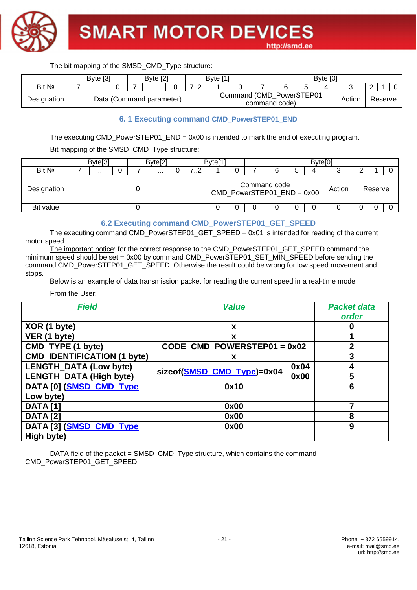

|             | Byte [3] |  | Byte [2]                 |                             | Byte [1] |                                           |  | Byte [0] |        |         |  |
|-------------|----------|--|--------------------------|-----------------------------|----------|-------------------------------------------|--|----------|--------|---------|--|
| Bit Nº      | .        |  | $\cdots$                 | ⇁<br>$\sim$<br>. . <u>.</u> |          |                                           |  |          |        |         |  |
| Designation |          |  | Data (Command parameter) |                             |          | Command (CMD PowerSTEP01<br>command code) |  |          | Action | Reserve |  |

#### **6. 1 Executing command CMD\_PowerSTEP01\_END**

The executing CMD\_PowerSTEP01\_END = 0x00 is intended to mark the end of executing program.

Bit mapping of the SMSD\_CMD\_Type structure:

|             | Byte[3]  |  | Byte <sup>[2]</sup> |   | Byte <sup>[1]</sup> |   |                                              |   | Byte[0] |        |         |  |
|-------------|----------|--|---------------------|---|---------------------|---|----------------------------------------------|---|---------|--------|---------|--|
| Bit Nº      | $\cdots$ |  | $\cdots$            | . |                     |   |                                              | ა |         |        |         |  |
| Designation |          |  |                     |   |                     |   | Command code<br>$CMD_PowerSTEP01_FND = 0x00$ |   |         | Action | Reserve |  |
| Bit value   |          |  |                     |   |                     | 0 |                                              | 0 |         |        |         |  |

#### **6.2 Executing command CMD\_PowerSTEP01\_GET\_SPEED**

The executing command CMD\_PowerSTEP01\_GET\_SPEED = 0x01 is intended for reading of the current motor speed.

The important notice: for the correct response to the CMD\_PowerSTEP01\_GET\_SPEED command the minimum speed should be set =  $0x00$  by command CMD\_PowerSTEP01\_SET\_MIN\_SPEED before sending the command CMD\_PowerSTEP01\_GET\_SPEED. Otherwise the result could be wrong for low speed movement and stops.

Below is an example of data transmission packet for reading the current speed in a real-time mode:

From the User:

| <b>Field</b>                       | <b>Value</b>                |      | <b>Packet data</b><br>order |
|------------------------------------|-----------------------------|------|-----------------------------|
| XOR (1 byte)                       | X                           |      | O                           |
| VER (1 byte)                       | X                           |      |                             |
| CMD_TYPE (1 byte)                  | CODE CMD POWERSTEP01 = 0x02 |      | 2                           |
| <b>CMD_IDENTIFICATION (1 byte)</b> | x                           |      | 3                           |
| <b>LENGTH_DATA (Low byte)</b>      | sizeof(SMSD_CMD_Type)=0x04  | 0x04 | 4                           |
| <b>LENGTH_DATA (High byte)</b>     |                             | 0x00 | 5                           |
| DATA [0] (SMSD_CMD_Type            | 0x10                        |      | 6                           |
| Low byte)                          |                             |      |                             |
| <b>DATA</b> [1]                    | 0x00                        |      | 7                           |
| <b>DATA</b> [2]                    | 0x00                        |      | 8                           |
| DATA [3] (SMSD_CMD_Type            | 0x00                        |      | 9                           |
| High byte)                         |                             |      |                             |

DATA field of the packet = SMSD\_CMD\_Type structure, which contains the command CMD\_PowerSTEP01\_GET\_SPEED.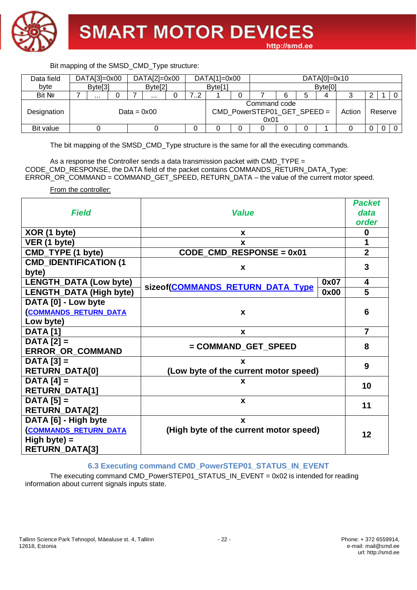

| Data field  |  | $DATA[3]=0x00$      |  |  | $DATA[2]=0x00$      |                                                               |         | $DATA[1]=0x00$      |  |  |   |   | $DATA[0]=0x10$      |         |  |  |
|-------------|--|---------------------|--|--|---------------------|---------------------------------------------------------------|---------|---------------------|--|--|---|---|---------------------|---------|--|--|
| byte        |  | Byte <sup>[3]</sup> |  |  | Byte <sup>[2]</sup> |                                                               |         | Byte <sup>[1]</sup> |  |  |   |   | Byte <sup>[0]</sup> |         |  |  |
| Bit No      |  |                     |  |  | $\cdots$            |                                                               | 79<br>ے |                     |  |  | 6 | 5 | 4                   |         |  |  |
| Designation |  |                     |  |  | Data = $0x00$       | Command code<br>CMD_PowerSTEP01_GET_SPEED =<br>Action<br>0x01 |         |                     |  |  |   |   |                     | Reserve |  |  |
| Bit value   |  |                     |  |  |                     |                                                               |         |                     |  |  | 0 |   |                     |         |  |  |

The bit mapping of the SMSD\_CMD\_Type structure is the same for all the executing commands.

As a response the Controller sends a data transmission packet with CMD TYPE  $=$ CODE\_CMD\_RESPONSE, the DATA field of the packet contains COMMANDS\_RETURN\_DATA\_Type: ERROR\_OR\_COMMAND = COMMAND\_GET\_SPEED, RETURN\_DATA – the value of the current motor speed.

From the controller:

|                               |                                                       |      | <b>Packet</b>  |  |  |  |  |  |
|-------------------------------|-------------------------------------------------------|------|----------------|--|--|--|--|--|
| <b>Field</b>                  | <b>Value</b>                                          |      | data           |  |  |  |  |  |
|                               |                                                       |      | order          |  |  |  |  |  |
| XOR (1 byte)                  | X                                                     |      | $\bf{0}$       |  |  |  |  |  |
| VER (1 byte)                  | X                                                     |      | 1              |  |  |  |  |  |
| CMD_TYPE (1 byte)             | $CODE$ <sub>_</sub> $CMD$ <sub>_RESPONSE = 0x01</sub> |      | $\overline{2}$ |  |  |  |  |  |
| <b>CMD_IDENTIFICATION (1</b>  |                                                       |      | 3              |  |  |  |  |  |
| byte)                         | X                                                     |      |                |  |  |  |  |  |
| <b>LENGTH_DATA (Low byte)</b> | sizeof(COMMANDS_RETURN_DATA_Type                      | 0x07 | 4              |  |  |  |  |  |
| LENGTH_DATA (High byte)       |                                                       | 0x00 | 5              |  |  |  |  |  |
| DATA [0] - Low byte           |                                                       |      |                |  |  |  |  |  |
| <b>COMMANDS RETURN DATA</b>   | X                                                     |      | 6              |  |  |  |  |  |
| Low byte)                     |                                                       |      |                |  |  |  |  |  |
| <b>DATA</b> [1]               | X                                                     |      | $\overline{7}$ |  |  |  |  |  |
| $DATA [2] =$                  |                                                       |      | 8              |  |  |  |  |  |
| <b>ERROR_OR_COMMAND</b>       | = COMMAND_GET_SPEED                                   |      |                |  |  |  |  |  |
| $DATA [3] =$                  | X                                                     |      | 9              |  |  |  |  |  |
| <b>RETURN_DATA[0]</b>         | (Low byte of the current motor speed)                 |      |                |  |  |  |  |  |
| $DATA[4] =$                   | X                                                     |      | 10             |  |  |  |  |  |
| <b>RETURN_DATA[1]</b>         |                                                       |      |                |  |  |  |  |  |
| $DATA [5] =$                  | $\mathbf{x}$                                          |      |                |  |  |  |  |  |
| <b>RETURN_DATA[2]</b>         |                                                       |      |                |  |  |  |  |  |
| DATA [6] - High byte          | $\mathbf{x}$                                          |      |                |  |  |  |  |  |
| <b>COMMANDS RETURN DATA</b>   | (High byte of the current motor speed)                |      | 12             |  |  |  |  |  |
| High byte) $=$                |                                                       |      |                |  |  |  |  |  |
| <b>RETURN_DATA[3]</b>         |                                                       |      |                |  |  |  |  |  |

#### **6.3 Executing command CMD\_PowerSTEP01\_STATUS\_IN\_EVENT**

The executing command CMD\_PowerSTEP01\_STATUS\_IN\_EVENT = 0x02 is intended for reading information about current signals inputs state.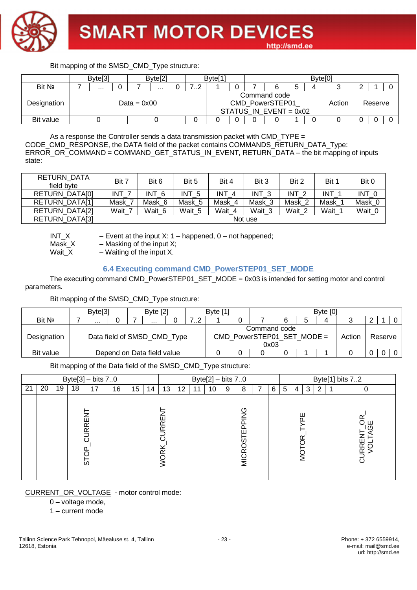

|             | Byte <sup>[3]</sup> |               | Byte[2] |   | Byte <sup>[1</sup> |  |                                                             |   | Byte <sup>[0]</sup> |        |         |  |
|-------------|---------------------|---------------|---------|---|--------------------|--|-------------------------------------------------------------|---|---------------------|--------|---------|--|
| Bit Nº      |                     |               | .       | ے |                    |  |                                                             | э |                     |        |         |  |
| Designation |                     | Data = $0x00$ |         |   |                    |  | Command code<br>CMD_PowerSTEP01<br>STATUS IN EVENT = $0x02$ |   |                     | Action | Reserve |  |
| Bit value   |                     |               |         |   |                    |  |                                                             |   |                     |        |         |  |

As a response the Controller sends a data transmission packet with CMD\_TYPE = CODE\_CMD\_RESPONSE, the DATA field of the packet contains COMMANDS\_RETURN\_DATA\_Type: ERROR\_OR\_COMMAND = COMMAND\_GET\_STATUS\_IN\_EVENT, RETURN\_DATA – the bit mapping of inputs state:

| RETURN DATA<br>field byte | Bit 7 | Bit 6            | Bit 5            | Bit 4            | Bit 3      | Bit 2            | Bit 1  | Bit 0             |
|---------------------------|-------|------------------|------------------|------------------|------------|------------------|--------|-------------------|
| RETURN DATA[0]            | INT   | INT <sub>6</sub> | INT <sub>5</sub> | INT <sub>4</sub> | <b>INT</b> | INT <sub>2</sub> | INT    | INT 0             |
| RETURN DATA[1]            | Mask  | Mask 6           | Mask 5           | Mask 4           | Mask 3     | Mask 2           | Mask   | Mask <sup>r</sup> |
| RETURN DATA[2]            | Wait  | Wait 6           | Wait 5           | Wait 4           | Wait 3     | Wait 2           | Wait 1 | Wait_0            |
| RETURN_DATA[3]            |       |                  |                  |                  | Not use    |                  |        |                   |

 $INT_X$  – Event at the input X: 1 – happened, 0 – not happened; Mask\_X  $-$  Masking of the input X;

Wait $\chi$  – Waiting of the input X.

#### **6.4 Executing command CMD\_PowerSTEP01\_SET\_MODE**

The executing command CMD\_PowerSTEP01\_SET\_MODE = 0x03 is intended for setting motor and control parameters.

Bit mapping of the SMSD\_CMD\_Type structure:

|             |                            | Byte <sup>[3]</sup> |  |  | Byte $[2]$                  |  |   | Byte [1] |                                                    |   | Byte [0] |        |         |  |
|-------------|----------------------------|---------------------|--|--|-----------------------------|--|---|----------|----------------------------------------------------|---|----------|--------|---------|--|
| Bit No      |                            | $\cdots$            |  |  | $\cdots$                    |  | . |          |                                                    | 6 | 4        | ີ      |         |  |
| Designation |                            |                     |  |  | Data field of SMSD_CMD_Type |  |   |          | Command code<br>CMD_PowerSTEP01_SET_MODE =<br>0x03 |   |          | Action | Reserve |  |
| Bit value   | Depend on Data field value |                     |  |  |                             |  |   |          |                                                    |   |          |        |         |  |

Bit mapping of the Data field of the SMSD\_CMD\_Type structure:

|    |    |    | Byte[3] $-$ bits 70 |                   |    |    |    |             | Byte[2] $-$ bits 70 |    |    |   |                             |   |   | Byte[1] bits 72 |              |   |                       |
|----|----|----|---------------------|-------------------|----|----|----|-------------|---------------------|----|----|---|-----------------------------|---|---|-----------------|--------------|---|-----------------------|
| 21 | 20 | 19 | 18                  | 17                | 16 | 15 | 14 | 13          | 12                  | 11 | 10 | 9 | 8                           | 6 | 5 | 4 I             | $\mathbf{3}$ | 2 |                       |
|    |    |    |                     | <b>IRREI</b><br>5 |    |    |    | l<br>R<br>≃ |                     |    |    |   | PPING<br>ш<br><b>MICROS</b> |   |   | ш<br>Ö          |              |   | ш<br>R<br>S<br>S<br>ಠ |

CURRENT\_OR\_VOLTAGE - motor control mode:

0 – voltage mode,

1 – current mode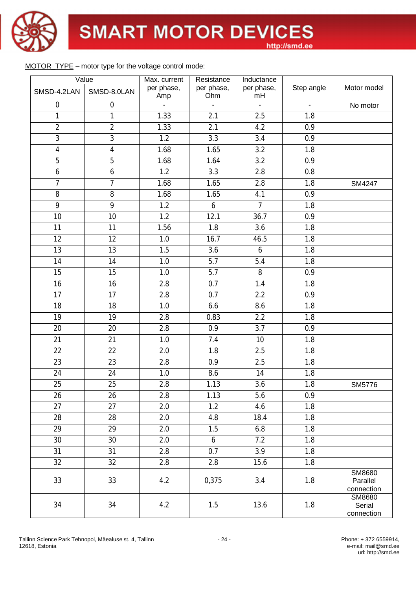

#### MOTOR\_TYPE – motor type for the voltage control mode:

|                  | Value            | Max. current      | Resistance        | Inductance       |                |                                  |
|------------------|------------------|-------------------|-------------------|------------------|----------------|----------------------------------|
| SMSD-4.2LAN      | SMSD-8.0LAN      | per phase,<br>Amp | per phase,<br>Ohm | per phase,<br>mH | Step angle     | Motor model                      |
| $\boldsymbol{0}$ | $\boldsymbol{0}$ |                   |                   |                  | $\overline{a}$ | No motor                         |
| 1                | $\mathbf{1}$     | 1.33              | 2.1               | 2.5              | 1.8            |                                  |
| $\overline{2}$   | $\overline{2}$   | 1.33              | 2.1               | 4.2              | 0.9            |                                  |
| $\overline{3}$   | 3                | 1.2               | 3.3               | 3.4              | 0.9            |                                  |
| $\overline{4}$   | $\overline{4}$   | 1.68              | 1.65              | 3.2              | 1.8            |                                  |
| $\overline{5}$   | $\overline{5}$   | 1.68              | 1.64              | 3.2              | 0.9            |                                  |
| $\boldsymbol{6}$ | 6                | 1.2               | 3.3               | 2.8              | 0.8            |                                  |
| $\overline{7}$   | $\overline{7}$   | 1.68              | 1.65              | 2.8              | 1.8            | SM4247                           |
| 8                | 8                | 1.68              | 1.65              | 4.1              | 0.9            |                                  |
| 9                | 9                | 1.2               | 6                 | $\overline{7}$   | 1.8            |                                  |
| 10               | 10               | 1.2               | 12.1              | 36.7             | 0.9            |                                  |
| 11               | 11               | 1.56              | 1.8               | 3.6              | 1.8            |                                  |
| 12               | 12               | 1.0               | 16.7              | 46.5             | 1.8            |                                  |
| 13               | 13               | 1.5               | 3.6               | 6                | 1.8            |                                  |
| 14               | 14               | 1.0               | 5.7               | 5.4              | 1.8            |                                  |
| 15               | 15               | 1.0               | 5.7               | 8                | 0.9            |                                  |
| 16               | 16               | 2.8               | 0.7               | 1.4              | 1.8            |                                  |
| 17               | 17               | 2.8               | 0.7               | 2.2              | 0.9            |                                  |
| 18               | 18               | 1.0               | 6.6               | 8.6              | 1.8            |                                  |
| 19               | 19               | 2.8               | 0.83              | 2.2              | 1.8            |                                  |
| 20               | 20               | 2.8               | 0.9               | 3.7              | 0.9            |                                  |
| 21               | 21               | 1.0               | 7.4               | 10               | 1.8            |                                  |
| 22               | 22               | 2.0               | 1.8               | 2.5              | 1.8            |                                  |
| 23               | 23               | 2.8               | 0.9               | 2.5              | 1.8            |                                  |
| 24               | 24               | 1.0               | 8.6               | 14               | 1.8            |                                  |
| 25               | 25               | 2.8               | 1.13              | 3.6              | 1.8            | SM5776                           |
| 26               | 26               | 2.8               | 1.13              | 5.6              | 0.9            |                                  |
| 27               | 27               | 2.0               | 1.2               | 4.6              | 1.8            |                                  |
| 28               | 28               | 2.0               | 4.8               | 18.4             | 1.8            |                                  |
| 29               | 29               | 2.0               | 1.5               | 6.8              | 1.8            |                                  |
| 30               | 30               | 2.0               | 6                 | 7.2              | 1.8            |                                  |
| 31               | 31               | 2.8               | 0.7               | 3.9              | 1.8            |                                  |
| 32               | 32               | 2.8               | $2.8\,$           | 15.6             | 1.8            |                                  |
| 33               | 33               | 4.2               | 0,375             | 3.4              | 1.8            | SM8680<br>Parallel<br>connection |
| 34               | 34               | 4.2               | 1.5               | 13.6             | 1.8            | SM8680<br>Serial<br>connection   |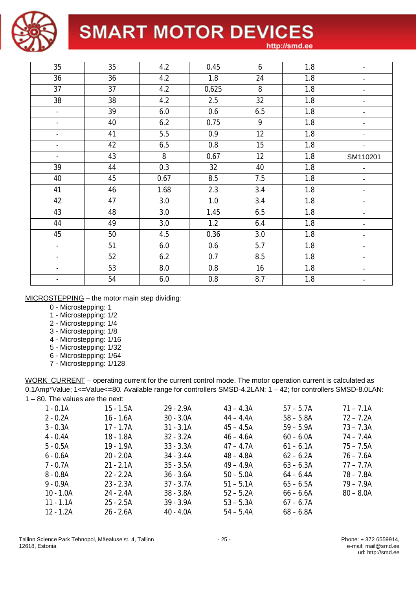

# **SMART MOTOR DEVICES**

http://smd.ee

| 35                       | 35 | 4.2  | 0.45    | 6   | 1.8 |                          |
|--------------------------|----|------|---------|-----|-----|--------------------------|
| 36                       | 36 | 4.2  | 1.8     | 24  | 1.8 |                          |
| 37                       | 37 | 4.2  | 0,625   | 8   | 1.8 |                          |
| 38                       | 38 | 4.2  | 2.5     | 32  | 1.8 |                          |
| ÷.                       | 39 | 6.0  | 0.6     | 6.5 | 1.8 |                          |
| $\overline{\phantom{0}}$ | 40 | 6.2  | 0.75    | 9   | 1.8 |                          |
| $\overline{\phantom{0}}$ | 41 | 5.5  | 0.9     | 12  | 1.8 | ٠                        |
| $\overline{\phantom{0}}$ | 42 | 6.5  | 0.8     | 15  | 1.8 | $\overline{\phantom{a}}$ |
| $\overline{\phantom{a}}$ | 43 | 8    | 0.67    | 12  | 1.8 | SM110201                 |
| 39                       | 44 | 0.3  | 32      | 40  | 1.8 |                          |
| 40                       | 45 | 0.67 | 8.5     | 7.5 | 1.8 |                          |
| 41                       | 46 | 1.68 | 2.3     | 3.4 | 1.8 |                          |
| 42                       | 47 | 3.0  | 1.0     | 3.4 | 1.8 |                          |
| 43                       | 48 | 3.0  | 1.45    | 6.5 | 1.8 | ۰                        |
| 44                       | 49 | 3.0  | 1.2     | 6.4 | 1.8 | ۰                        |
| 45                       | 50 | 4.5  | 0.36    | 3.0 | 1.8 | ٠                        |
| $\overline{\phantom{a}}$ | 51 | 6.0  | 0.6     | 5.7 | 1.8 |                          |
| $\overline{\phantom{0}}$ | 52 | 6.2  | 0.7     | 8.5 | 1.8 |                          |
|                          | 53 | 8.0  | 0.8     | 16  | 1.8 |                          |
|                          | 54 | 6.0  | $0.8\,$ | 8.7 | 1.8 |                          |

#### MICROSTEPPING – the motor main step dividing:

- 0 Microstepping: 1
- 1 Microstepping: 1/2
- 2 Microstepping: 1/4
- 3 Microstepping: 1/8
- 4 Microstepping: 1/16
- 5 Microstepping: 1/32
- 6 Microstepping: 1/64
- 7 Microstepping: 1/128

WORK\_CURRENT – operating current for the current control mode. The motor operation current is calculated as 0.1Amp\*Value; 1<=Value<=80. Available range for controllers SMSD-4.2LAN: 1 - 42; for controllers SMSD-8.0LAN: 1 – 80. The values are the next:

| $1 - 0.1A$  | $15 - 1.5A$ | $29 - 2.9A$ | $43 - 4.3A$ | $57 - 5.7A$ | $71 - 7.1A$ |
|-------------|-------------|-------------|-------------|-------------|-------------|
| $2 - 0.2A$  | $16 - 1.6A$ | $30 - 3.0A$ | $44 - 4.4A$ | $58 - 5.8A$ | $72 - 7.2A$ |
| $3 - 0.3A$  | $17 - 1.7A$ | $31 - 3.1A$ | $45 - 4.5A$ | $59 - 5.9A$ | $73 - 7.3A$ |
| $4 - 0.4A$  | 18 - 1.8A   | $32 - 3.2A$ | $46 - 4.6A$ | $60 - 6.0A$ | $74 - 7.4A$ |
| $5 - 0.5A$  | 19 - 1.9A   | $33 - 3.3A$ | $47 - 4.7A$ | $61 - 6.1A$ | $75 - 7.5A$ |
| $6 - 0.6A$  | $20 - 2.0A$ | $34 - 3.4A$ | $48 - 4.8A$ | $62 - 6.2A$ | $76 - 7.6A$ |
| 7 - 0.7A    | $21 - 2.1A$ | $35 - 3.5A$ | $49 - 4.9A$ | $63 - 6.3A$ | $77 - 7.7A$ |
| $8 - 0.8A$  | $22 - 2.2A$ | $36 - 3.6A$ | $50 - 5.0A$ | $64 - 6.4A$ | $78 - 7.8A$ |
| $9 - 0.9A$  | $23 - 2.3A$ | $37 - 3.7A$ | $51 - 5.1A$ | $65 - 6.5A$ | $79 - 7.9A$ |
| $10 - 1.0A$ | $24 - 2.4A$ | $38 - 3.8A$ | $52 - 5.2A$ | $66 - 6.6A$ | $80 - 8.0A$ |
| $11 - 1.1A$ | $25 - 2.5A$ | $39 - 3.9A$ | $53 - 5.3A$ | $67 - 6.7A$ |             |
| $12 - 1.2A$ | $26 - 2.6A$ | $40 - 4.0A$ | $54 - 5.4A$ | $68 - 6.8A$ |             |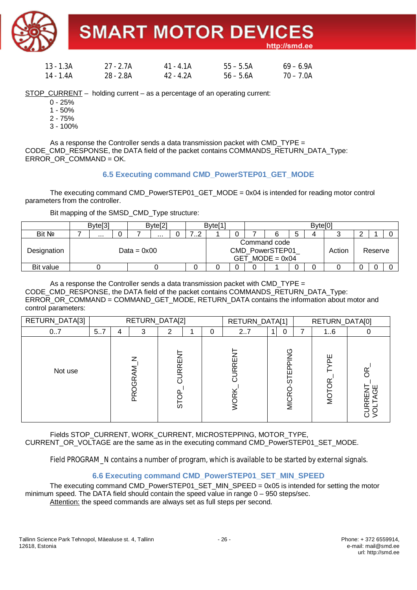**SMART MOTOR DEVICES** 

http://smd.ee

| 13 - 1.3A | 27 - 2.7A | 41 - 4 1A | $55 - 5.5A$ | $69 - 6.9$ A |
|-----------|-----------|-----------|-------------|--------------|
| 14 - 1.4A | 28 - 2.8A | 42 - 4.2A | $56 - 5.6A$ | $70 - 7.0A$  |

STOP\_CURRENT – holding current – as a percentage of an operating current:

- $0 25%$
- 1 50%
- 2 75%
- 3 100%

As a response the Controller sends a data transmission packet with CMD TYPE  $=$ CODE\_CMD\_RESPONSE, the DATA field of the packet contains COMMANDS\_RETURN\_DATA\_Type: ERROR\_OR\_COMMAND = OK.

#### **6.5 Executing command CMD\_PowerSTEP01\_GET\_MODE**

The executing command CMD\_PowerSTEP01\_GET\_MODE =  $0x04$  is intended for reading motor control parameters from the controller.

Bit mapping of the SMSD\_CMD\_Type structure:

|             | Byte <sup>[3]</sup> |  |               | Byte <sup>[2]</sup> |  |  | Byte <sup>[1]</sup> |   |                                                            |   | Byte <sup>[0]</sup> |        |         |  |
|-------------|---------------------|--|---------------|---------------------|--|--|---------------------|---|------------------------------------------------------------|---|---------------------|--------|---------|--|
| Bit Nº      | <br>.               |  |               |                     |  |  |                     |   |                                                            | đ |                     |        |         |  |
| Designation |                     |  | Data = $0x00$ |                     |  |  |                     |   | Command code<br>CMD_PowerSTEP01<br>$GET \quad MODE = 0x04$ |   |                     | Action | Reserve |  |
| Bit value   |                     |  |               |                     |  |  |                     | 0 |                                                            | 0 |                     |        |         |  |

As a response the Controller sends a data transmission packet with CMD TYPE  $=$ CODE\_CMD\_RESPONSE, the DATA field of the packet contains COMMANDS\_RETURN\_DATA\_Type: ERROR\_OR\_COMMAND = COMMAND\_GET\_MODE, RETURN\_DATA contains the information about motor and control parameters:

| RETURN_DATA[3] |     |   | RETURN_DATA[2]                  |             |          | RETURN_DATA[1]  |                                               |   | RETURN_DATA[0] |  |
|----------------|-----|---|---------------------------------|-------------|----------|-----------------|-----------------------------------------------|---|----------------|--|
| 07             | 5.7 | 4 | 3                               | 2           | $\Omega$ | 2.7             | 0<br>11                                       | ⇁ | 16             |  |
| Not use        |     |   | z<br>Σ<br>ىم<br>ق<br><b>DRO</b> | CURREN<br>5 |          | RRE<br>$\alpha$ | $\frac{0}{2}$<br><b>GLEbbl</b><br><b>MICR</b> |   | 뿐<br>Ö         |  |

Fields STOP\_CURRENT, WORK\_CURRENT, MICROSTEPPING, MOTOR\_TYPE, CURRENT\_OR\_VOLTAGE are the same as in the executing command CMD\_PowerSTEP01\_SET\_MODE.

Field PROGRAM N contains a number of program, which is available to be started by external signals.

#### **6.6 Executing command CMD\_PowerSTEP01\_SET\_MIN\_SPEED**

The executing command CMD\_PowerSTEP01\_SET\_MIN\_SPEED =  $0x05$  is intended for setting the motor minimum speed. The DATA field should contain the speed value in range 0 – 950 steps/sec. Attention: the speed commands are always set as full steps per second.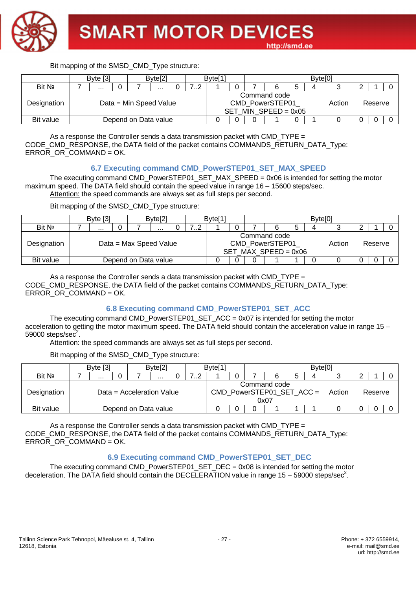

|             |                        | Byte $[3]$ |  |                      | Byte <sup>[2]</sup> |  |  | Byte <sup>[1</sup> |  |                                                           | Byte <sup>[0]</sup> |        |         |  |
|-------------|------------------------|------------|--|----------------------|---------------------|--|--|--------------------|--|-----------------------------------------------------------|---------------------|--------|---------|--|
| Bit No      | <br>                   |            |  |                      |                     |  |  |                    |  |                                                           | Д                   |        |         |  |
| Designation | Data = Min Speed Value |            |  |                      |                     |  |  |                    |  | Command code<br>CMD PowerSTEP01<br>SET MIN SPEED = $0x05$ |                     | Action | Reserve |  |
| Bit value   |                        |            |  | Depend on Data value |                     |  |  |                    |  |                                                           |                     |        |         |  |

As a response the Controller sends a data transmission packet with CMD\_TYPE  $=$ CODE\_CMD\_RESPONSE, the DATA field of the packet contains COMMANDS\_RETURN\_DATA\_Type: ERROR\_OR\_COMMAND = OK.

#### **6.7 Executing command CMD\_PowerSTEP01\_SET\_MAX\_SPEED**

The executing command CMD\_PowerSTEP01\_SET\_MAX\_SPEED = 0x06 is intended for setting the motor maximum speed. The DATA field should contain the speed value in range 16 – 15600 steps/sec. Attention: the speed commands are always set as full steps per second.

Bit mapping of the SMSD\_CMD\_Type structure:

|             | Byte $[3]$ |  |                        | Byte[2] |  |  | Byte <sup>[1]</sup>                                                 |  |   |  |  | Byte <sup>[0]</sup> |         |  |  |
|-------------|------------|--|------------------------|---------|--|--|---------------------------------------------------------------------|--|---|--|--|---------------------|---------|--|--|
| Bit No      | .<br>.     |  |                        |         |  |  |                                                                     |  |   |  |  |                     |         |  |  |
| Designation |            |  | Data = Max Speed Value |         |  |  | Command code<br>CMD_PowerSTEP01<br>Action<br>SET MAX SPEED = $0x06$ |  |   |  |  |                     | Reserve |  |  |
| Bit value   |            |  | Depend on Data value   |         |  |  |                                                                     |  | 0 |  |  |                     |         |  |  |

As a response the Controller sends a data transmission packet with CMD  $TYPE =$ CODE\_CMD\_RESPONSE, the DATA field of the packet contains COMMANDS\_RETURN\_DATA\_Type: ERROR\_OR\_COMMAND = OK.

#### **6.8 Executing command CMD\_PowerSTEP01\_SET\_ACC**

The executing command CMD\_PowerSTEP01\_SET\_ACC =  $0x07$  is intended for setting the motor acceleration to getting the motor maximum speed. The DATA field should contain the acceleration value in range 15 – 59000 steps/se $c^2$ .

Attention: the speed commands are always set as full steps per second.

Bit mapping of the SMSD\_CMD\_Type structure:

|             | Byte [3]                  |  |  | Byte[2] |  |   | Byte <sup>[1]</sup> |   |                                                      |   | Byte <sup>[0]</sup> |        |         |  |
|-------------|---------------------------|--|--|---------|--|---|---------------------|---|------------------------------------------------------|---|---------------------|--------|---------|--|
| Bit No      | .                         |  |  | .       |  | . |                     |   |                                                      | ა |                     |        |         |  |
| Designation | Data = Acceleration Value |  |  |         |  |   |                     |   | Command code<br>$CMD_PowerSTEP 01_SET_ACC =$<br>0x07 |   |                     | Action | Reserve |  |
| Bit value   | Depend on Data value      |  |  |         |  |   |                     | ∩ |                                                      |   |                     |        |         |  |

As a response the Controller sends a data transmission packet with CMD TYPE  $=$ CODE\_CMD\_RESPONSE, the DATA field of the packet contains COMMANDS\_RETURN\_DATA\_Type:  $ERROR$  OR COMMAND = OK.

#### **6.9 Executing command CMD\_PowerSTEP01\_SET\_DEC**

The executing command CMD\_PowerSTEP01\_SET\_DEC =  $0x08$  is intended for setting the motor deceleration. The DATA field should contain the DECELERATION value in range 15 - 59000 steps/sec<sup>2</sup>.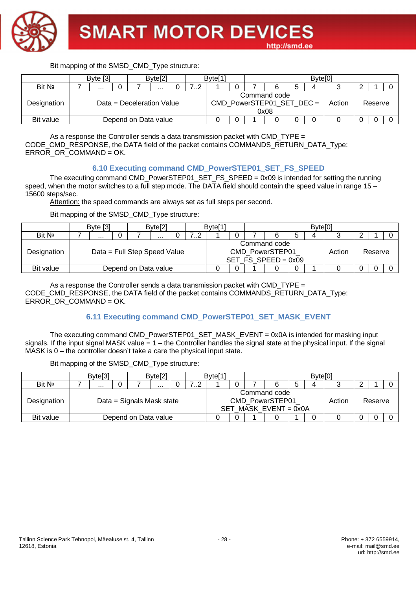

|             |                           | Byte $[3]$ |  |                      | Byte[2] |  |  | Byte <sup>[1</sup> |  |                                                   | Byte <sup>[0]</sup> |        |         |  |
|-------------|---------------------------|------------|--|----------------------|---------|--|--|--------------------|--|---------------------------------------------------|---------------------|--------|---------|--|
| Bit No      |                           |            |  | .                    | ے       |  |  |                    |  |                                                   |                     |        |         |  |
| Designation | Data = Deceleration Value |            |  |                      |         |  |  |                    |  | Command code<br>CMD_PowerSTEP01_SET_DEC =<br>0x08 |                     | Action | Reserve |  |
| Bit value   |                           |            |  | Depend on Data value |         |  |  |                    |  |                                                   |                     |        |         |  |

As a response the Controller sends a data transmission packet with CMD\_TYPE  $=$ CODE\_CMD\_RESPONSE, the DATA field of the packet contains COMMANDS\_RETURN\_DATA\_Type: ERROR\_OR\_COMMAND = OK.

#### **6.10 Executing command CMD\_PowerSTEP01\_SET\_FS\_SPEED**

The executing command CMD\_PowerSTEP01\_SET\_FS\_SPEED = 0x09 is intended for setting the running speed, when the motor switches to a full step mode. The DATA field should contain the speed value in range 15 – 15600 steps/sec.

Attention: the speed commands are always set as full steps per second.

Bit mapping of the SMSD\_CMD\_Type structure:

|             |                      | Byte [3] |   |                              | Byte <sup>[2]</sup> |  |   | Byte <sup>[1]</sup> |  |                                                          | Byte <sup>[0]</sup> |        |         |  |  |  |  |
|-------------|----------------------|----------|---|------------------------------|---------------------|--|---|---------------------|--|----------------------------------------------------------|---------------------|--------|---------|--|--|--|--|
| Bit No      |                      |          | . |                              |                     |  | ⊿ |                     |  |                                                          |                     |        |         |  |  |  |  |
| Designation |                      |          |   | Data = Full Step Speed Value |                     |  |   |                     |  | Command code<br>CMD PowerSTEP01<br>SET FS SPEED = $0x09$ |                     | Action | Reserve |  |  |  |  |
| Bit value   | Depend on Data value |          |   |                              |                     |  |   |                     |  |                                                          |                     |        |         |  |  |  |  |

As a response the Controller sends a data transmission packet with CMD TYPE  $=$ CODE\_CMD\_RESPONSE, the DATA field of the packet contains COMMANDS\_RETURN\_DATA\_Type: ERROR\_OR\_COMMAND = OK.

#### **6.11 Executing command CMD\_PowerSTEP01\_SET\_MASK\_EVENT**

The executing command CMD\_PowerSTEP01\_SET\_MASK\_EVENT = 0x0A is intended for masking input signals. If the input signal MASK value  $= 1$  – the Controller handles the signal state at the physical input. If the signal MASK is 0 – the controller doesn't take a care the physical input state.

Bit mapping of the SMSD\_CMD\_Type structure:

|             | Byte[3] |                      |                           | Byte <sup>[2]</sup> |  |   | Byte <sup>[1]</sup> |  |                                                            |   | Byte <sup>[0]</sup> |        |         |  |
|-------------|---------|----------------------|---------------------------|---------------------|--|---|---------------------|--|------------------------------------------------------------|---|---------------------|--------|---------|--|
| Bit Nº      |         |                      |                           | .                   |  | . |                     |  |                                                            | N |                     |        |         |  |
| Designation |         |                      | Data = Signals Mask state |                     |  |   |                     |  | Command code<br>CMD PowerSTEP01<br>SET MASK $EVENT = 0x0A$ |   |                     | Action | Reserve |  |
| Bit value   |         | Depend on Data value |                           |                     |  |   |                     |  |                                                            |   |                     |        |         |  |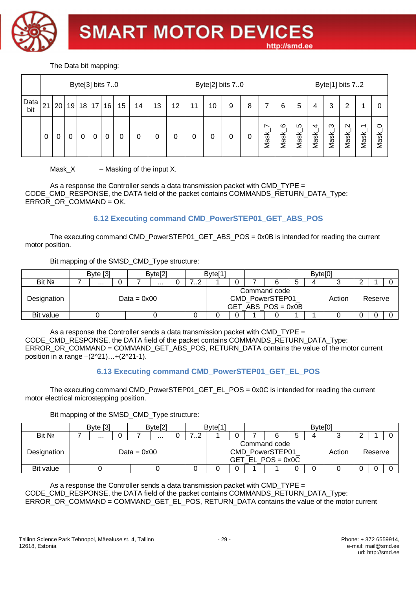

The Data bit mapping:

|             |    |                                            |   |   |   | Byte[3] bits 70 |   |   |    |    |    | Byte[2] bits 70 |   |   |                                               |                        |           |                                     | Byte <sup>[1]</sup> bits 72 |                             |                                               |               |
|-------------|----|--------------------------------------------|---|---|---|-----------------|---|---|----|----|----|-----------------|---|---|-----------------------------------------------|------------------------|-----------|-------------------------------------|-----------------------------|-----------------------------|-----------------------------------------------|---------------|
| Data<br>bit | 21 | 20 <sub>1</sub><br>18 17<br>19<br>15<br>16 |   |   |   |                 |   |   | 13 | 12 | 11 | 10              | 9 | 8 | 7                                             | 6                      | 5         | 4                                   | 3                           | 2                           |                                               | U             |
|             | 0  | 0                                          | 0 | 0 | 0 | 0               | 0 | 0 |    |    |    |                 |   | 0 | $\overline{\phantom{0}}$<br>Mask <sub>.</sub> | ဖ<br>Mask <sub>.</sub> | ທ<br>Mask | $\overline{4}$<br>Mask <sub>.</sub> | ო<br>Mask <sub>.</sub>      | $\sim$<br>Mask <sub>.</sub> | $\overline{\phantom{0}}$<br>Mask <sub>.</sub> | ○<br>ask<br>⋝ |

 $Mask_X$  – Masking of the input X.

As a response the Controller sends a data transmission packet with CMD\_TYPE  $=$ CODE\_CMD\_RESPONSE, the DATA field of the packet contains COMMANDS\_RETURN\_DATA\_Type: ERROR\_OR\_COMMAND = OK.

# **6.12 Executing command CMD\_PowerSTEP01\_GET\_ABS\_POS**

The executing command CMD\_PowerSTEP01\_GET\_ABS\_POS = 0x0B is intended for reading the current motor position.

Bit mapping of the SMSD\_CMD\_Type structure:

|             |                    | Byte [3] |  |  | Byte[2] |  |  | Byte <sup>[1</sup> |  |                                                         |   | Byte <sup>[0]</sup> |        |         |  |
|-------------|--------------------|----------|--|--|---------|--|--|--------------------|--|---------------------------------------------------------|---|---------------------|--------|---------|--|
| Bit No      | .<br>$\cdots$      |          |  |  |         |  |  |                    |  |                                                         | 5 |                     |        |         |  |
| Designation | .<br>Data = $0x00$ |          |  |  |         |  |  |                    |  | Command code<br>CMD_PowerSTEP01<br>$GET_ABS_POS = 0x0B$ |   |                     | Action | Reserve |  |
| Bit value   |                    |          |  |  |         |  |  |                    |  |                                                         |   |                     |        |         |  |

As a response the Controller sends a data transmission packet with CMD  $TYPE =$ CODE\_CMD\_RESPONSE, the DATA field of the packet contains COMMANDS\_RETURN\_DATA\_Type: ERROR\_OR\_COMMAND = COMMAND\_GET\_ABS\_POS, RETURN\_DATA contains the value of the motor current position in a range –(2^21)…+(2^21-1).

# **6.13 Executing command CMD\_PowerSTEP01\_GET\_EL\_POS**

The executing command CMD\_PowerSTEP01\_GET\_EL\_POS = 0x0C is intended for reading the current motor electrical microstepping position.

#### Bit mapping of the SMSD\_CMD\_Type structure:

|             | Byte $[3]$    |  |  | Byte <sup>[2]</sup> |  |   | Byte <sup>[1]</sup> |  |                                                        |   | Byte <sup>[0]</sup> |        |         |  |
|-------------|---------------|--|--|---------------------|--|---|---------------------|--|--------------------------------------------------------|---|---------------------|--------|---------|--|
| Bit No      | $\cdots$<br>  |  |  |                     |  | . |                     |  |                                                        | О |                     |        |         |  |
| Designation | Data = $0x00$ |  |  |                     |  |   |                     |  | Command code<br>CMD_PowerSTEP01<br>GET EL $POS = 0x0C$ |   |                     | Action | Reserve |  |
| Bit value   |               |  |  |                     |  |   |                     |  |                                                        |   |                     |        |         |  |

As a response the Controller sends a data transmission packet with CMD\_TYPE  $=$ CODE\_CMD\_RESPONSE, the DATA field of the packet contains COMMANDS\_RETURN\_DATA\_Type: ERROR\_OR\_COMMAND = COMMAND\_GET\_EL\_POS, RETURN\_DATA contains the value of the motor current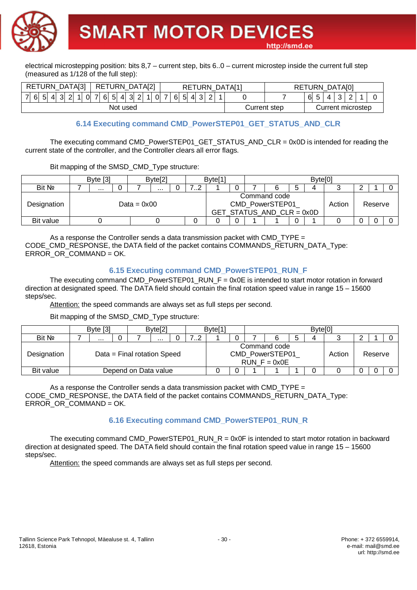**SMART MOTOR DEVICES** 



electrical microstepping position: bits 8,7 – current step, bits 6..0 – current microstep inside the current full step (measured as 1/128 of the full step):

| RETURN_DATA[3]  | RETURN_DATA[2]                                     | RETURN_DATA[1] |              | RETURN_DATA[0]         |
|-----------------|----------------------------------------------------|----------------|--------------|------------------------|
| 7 6 5 <br>4 3 2 | $6 \ 5 \ 4 \ 3 \ 2$<br>$1$ 0 7 $\sqrt{ }$<br>1 0 7 | 6 5<br>4 3 2   |              | 5<br>ົ<br>$\sim$<br>61 |
|                 | Not used                                           |                | Current step | Current microstep      |

#### **6.14 Executing command CMD\_PowerSTEP01\_GET\_STATUS\_AND\_CLR**

http://smd.ee

The executing command CMD\_PowerSTEP01\_GET\_STATUS\_AND\_CLR = 0x0D is intended for reading the current state of the controller, and the Controller clears all error flags.

Bit mapping of the SMSD\_CMD\_Type structure:

|             | Byte [3]      |  |               | Byte[2] |  |  | Byte <sup>[1</sup> |  |                                                              |   | Byte[0] |        |         |  |
|-------------|---------------|--|---------------|---------|--|--|--------------------|--|--------------------------------------------------------------|---|---------|--------|---------|--|
| Bit Nº      | .<br>$\cdots$ |  |               |         |  |  |                    |  |                                                              | ა |         |        |         |  |
| Designation |               |  | Data = $0x00$ |         |  |  |                    |  | Command code<br>CMD PowerSTEP01<br>GET_STATUS_AND_CLR = 0x0D |   |         | Action | Reserve |  |
| Bit value   |               |  |               |         |  |  |                    |  |                                                              | 0 |         |        |         |  |

As a response the Controller sends a data transmission packet with CMD TYPE  $=$ CODE\_CMD\_RESPONSE, the DATA field of the packet contains COMMANDS\_RETURN\_DATA\_Type: ERROR\_OR\_COMMAND = OK.

#### **6.15 Executing command CMD\_PowerSTEP01\_RUN\_F**

The executing command CMD\_PowerSTEP01\_RUN\_F = 0x0E is intended to start motor rotation in forward direction at designated speed. The DATA field should contain the final rotation speed value in range 15 – 15600 steps/sec.

Attention: the speed commands are always set as full steps per second.

Bit mapping of the SMSD\_CMD\_Type structure:

|             |                      | Byte [3] |  |                             | Byte <sup>[2]</sup> |  |   | Byte <sup>[1]</sup> |  |                                                   | Byte[0] |        |         |  |
|-------------|----------------------|----------|--|-----------------------------|---------------------|--|---|---------------------|--|---------------------------------------------------|---------|--------|---------|--|
| Bit No      |                      | <br>     |  |                             |                     |  | . |                     |  |                                                   |         |        |         |  |
| Designation |                      |          |  | Data = Final rotation Speed |                     |  |   |                     |  | Command code<br>CMD PowerSTEP01<br>$RUN$ F = 0x0E |         | Action | Reserve |  |
| Bit value   | Depend on Data value |          |  |                             |                     |  |   |                     |  |                                                   |         |        |         |  |

As a response the Controller sends a data transmission packet with CMD TYPE  $=$ CODE\_CMD\_RESPONSE, the DATA field of the packet contains COMMANDS\_RETURN\_DATA\_Type: ERROR\_OR\_COMMAND = OK.

#### **6.16 Executing command CMD\_PowerSTEP01\_RUN\_R**

The executing command CMD\_PowerSTEP01\_RUN\_R = 0x0F is intended to start motor rotation in backward direction at designated speed. The DATA field should contain the final rotation speed value in range 15 – 15600 steps/sec.

Attention: the speed commands are always set as full steps per second.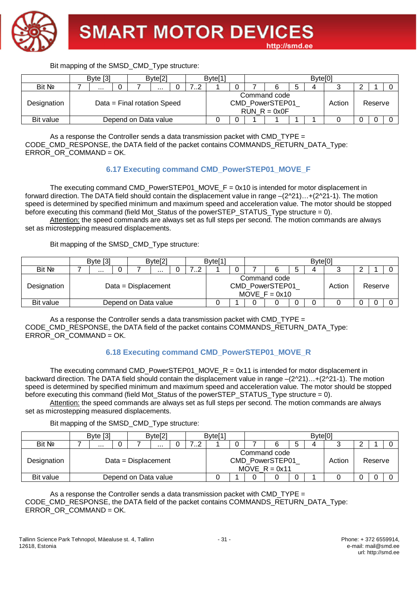

Bit mapping of the SMSD\_CMD\_Type structure: Byte [3] Byte[2] Byte[1] Byte[1] Byte[0] Bit № 7 ... 0 7 ... 0 7..2 1 0 7 6 5 4 3 2 1 0 Designation | Data = Final rotation Speed Command code CMD\_PowerSTEP01  $RUN_R = 0x0F$ Action Reserve

As a response the Controller sends a data transmission packet with CMD\_TYPE = CODE\_CMD\_RESPONSE, the DATA field of the packet contains COMMANDS\_RETURN\_DATA\_Type: ERROR\_OR\_COMMAND = OK.

#### **6.17 Executing command CMD\_PowerSTEP01\_MOVE\_F**

Bit value Depend on Data value 0 0 1 1 1 1 0 0 0 0

The executing command CMD\_PowerSTEP01\_MOVE\_F = 0x10 is intended for motor displacement in forward direction. The DATA field should contain the displacement value in range –(2^21)…+(2^21-1). The motion speed is determined by specified minimum and maximum speed and acceleration value. The motor should be stopped before executing this command (field Mot Status of the powerSTEP\_STATUS\_Type structure = 0).

Attention: the speed commands are always set as full steps per second. The motion commands are always set as microstepping measured displacements.

Bit mapping of the SMSD\_CMD\_Type structure:

|             | Byte $[3]$    |  |                       | Byte[2] |  |  | Byte <sup>[1]</sup> |  |                                                    | Byte[0] |        |         |  |
|-------------|---------------|--|-----------------------|---------|--|--|---------------------|--|----------------------------------------------------|---------|--------|---------|--|
| Bit No      | $\cdots$<br>. |  |                       |         |  |  |                     |  |                                                    |         |        |         |  |
| Designation |               |  | $Data = Displacement$ |         |  |  |                     |  | Command code<br>CMD PowerSTEP01<br>MOVE $F = 0x10$ |         | Action | Reserve |  |
| Bit value   |               |  | Depend on Data value  |         |  |  |                     |  |                                                    |         |        |         |  |

As a response the Controller sends a data transmission packet with CMD TYPE  $=$ CODE\_CMD\_RESPONSE, the DATA field of the packet contains COMMANDS\_RETURN\_DATA\_Type: ERROR\_OR\_COMMAND = OK.

#### **6.18 Executing command CMD\_PowerSTEP01\_MOVE\_R**

The executing command CMD\_PowerSTEP01\_MOVE\_R =  $0x11$  is intended for motor displacement in backward direction. The DATA field should contain the displacement value in range –(2^21)…+(2^21-1). The motion speed is determined by specified minimum and maximum speed and acceleration value. The motor should be stopped before executing this command (field Mot\_Status of the powerSTEP\_STATUS\_Type structure = 0).

Attention: the speed commands are always set as full steps per second. The motion commands are always set as microstepping measured displacements.

Bit mapping of the SMSD\_CMD\_Type structure:

|             | Byte [3]     |  |                       | Byte[2] |  |  | Byte[1] |  |                                                    |   | Byte <sup>[0]</sup> |        |         |  |
|-------------|--------------|--|-----------------------|---------|--|--|---------|--|----------------------------------------------------|---|---------------------|--------|---------|--|
| Bit No      | $\cdots$<br> |  |                       |         |  |  |         |  |                                                    | b |                     |        |         |  |
| Designation |              |  | $Data = Displacement$ |         |  |  |         |  | Command code<br>CMD PowerSTEP01<br>MOVE $R = 0x11$ |   |                     | Action | Reserve |  |
| Bit value   |              |  | Depend on Data value  |         |  |  |         |  |                                                    | 0 |                     |        |         |  |

As a response the Controller sends a data transmission packet with CMD  $TYPE =$ CODE\_CMD\_RESPONSE, the DATA field of the packet contains COMMANDS\_RETURN\_DATA\_Type: ERROR\_OR\_COMMAND = OK.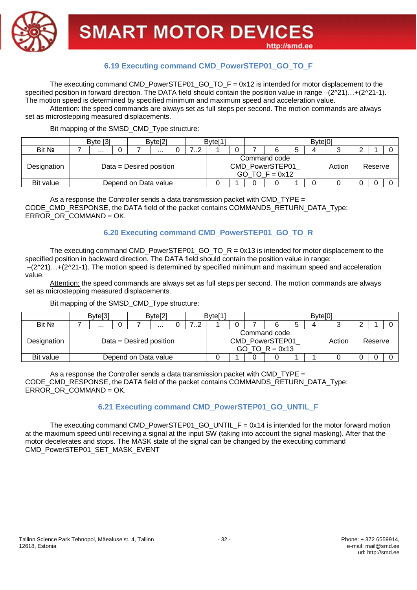

#### **6.19 Executing command CMD\_PowerSTEP01\_GO\_TO\_F**

The executing command CMD\_PowerSTEP01\_GO\_TO\_F =  $0x12$  is intended for motor displacement to the specified position in forward direction. The DATA field should contain the position value in range  $-(2^2 \cdot 21) \dots + (2^2 \cdot 21 \cdot 1)$ . The motion speed is determined by specified minimum and maximum speed and acceleration value.

Attention: the speed commands are always set as full steps per second. The motion commands are always set as microstepping measured displacements.

#### Bit mapping of the SMSD\_CMD\_Type structure:

|             | Byte [3]<br>Byte[2]<br>.<br>$\cdots$<br>Data = Desired position |  |  |  |  |  | Byte <sup>[1</sup> |  |                                                     |   | Byte[0] |        |         |  |
|-------------|-----------------------------------------------------------------|--|--|--|--|--|--------------------|--|-----------------------------------------------------|---|---------|--------|---------|--|
| Bit Nº      |                                                                 |  |  |  |  |  |                    |  |                                                     | b |         |        |         |  |
| Designation |                                                                 |  |  |  |  |  |                    |  | Command code<br>CMD PowerSTEP01<br>GO TO $F = 0x12$ |   |         | Action | Reserve |  |
| Bit value   | Depend on Data value                                            |  |  |  |  |  |                    |  |                                                     |   |         |        |         |  |

As a response the Controller sends a data transmission packet with CMD TYPE  $=$ CODE\_CMD\_RESPONSE, the DATA field of the packet contains COMMANDS\_RETURN\_DATA\_Type: ERROR\_OR\_COMMAND = OK.

#### **6.20 Executing command CMD\_PowerSTEP01\_GO\_TO\_R**

The executing command CMD\_PowerSTEP01\_GO\_TO\_R =  $0x13$  is intended for motor displacement to the specified position in backward direction. The DATA field should contain the position value in range: –(2^21)…+(2^21-1). The motion speed is determined by specified minimum and maximum speed and acceleration value.

Attention: the speed commands are always set as full steps per second. The motion commands are always set as microstepping measured displacements.

Bit mapping of the SMSD\_CMD\_Type structure:

|             | Byte <sup>[3]</sup>  |  |                            | Byte <sup>[2]</sup> |  |  | Byte <sup>[1]</sup> |  |                                                     | $B$ yte $[0]$ |        |         |  |
|-------------|----------------------|--|----------------------------|---------------------|--|--|---------------------|--|-----------------------------------------------------|---------------|--------|---------|--|
| Bit Nº      | .<br>                |  |                            |                     |  |  |                     |  |                                                     |               |        |         |  |
| Designation |                      |  | $Data = Designed position$ |                     |  |  |                     |  | Command code<br>CMD_PowerSTEP01<br>GO TO $R = 0x13$ |               | Action | Reserve |  |
| Bit value   | Depend on Data value |  |                            |                     |  |  |                     |  |                                                     |               |        |         |  |

As a response the Controller sends a data transmission packet with CMD TYPE  $=$ CODE\_CMD\_RESPONSE, the DATA field of the packet contains COMMANDS\_RETURN\_DATA\_Type: ERROR\_OR\_COMMAND = OK.

#### **6.21 Executing command CMD\_PowerSTEP01\_GO\_UNTIL\_F**

The executing command CMD\_PowerSTEP01\_GO\_UNTIL\_F =  $0x14$  is intended for the motor forward motion at the maximum speed until receiving a signal at the input SW (taking into account the signal masking). After that the motor decelerates and stops. The MASK state of the signal can be changed by the executing command CMD\_PowerSTEP01\_SET\_MASK\_EVENT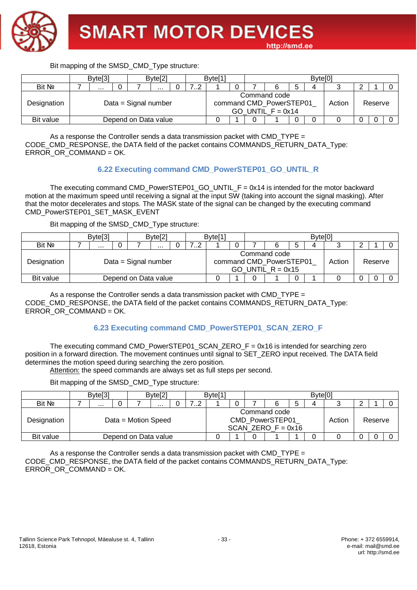

|             | Byte <sup>[3]</sup> |                      | Byte <sup>[2]</sup> |  |  | Byte <sup>[1]</sup> |   |                                                                |  | Byte[0] |        |         |  |
|-------------|---------------------|----------------------|---------------------|--|--|---------------------|---|----------------------------------------------------------------|--|---------|--------|---------|--|
| Bit No      |                     | .                    | .                   |  |  |                     | ა |                                                                |  |         |        |         |  |
| Designation |                     | Data = Signal number |                     |  |  |                     |   | Command code<br>command CMD PowerSTEP01<br>GO UNTIL $F = 0x14$ |  |         | Action | Reserve |  |
| Bit value   |                     | Depend on Data value |                     |  |  |                     | 0 |                                                                |  |         |        |         |  |

As a response the Controller sends a data transmission packet with CMD\_TYPE  $=$ CODE\_CMD\_RESPONSE, the DATA field of the packet contains COMMANDS\_RETURN\_DATA\_Type: ERROR\_OR\_COMMAND = OK.

#### **6.22 Executing command CMD\_PowerSTEP01\_GO\_UNTIL\_R**

The executing command CMD\_PowerSTEP01\_GO\_UNTIL\_F = 0x14 is intended for the motor backward motion at the maximum speed until receiving a signal at the input SW (taking into account the signal masking). After that the motor decelerates and stops. The MASK state of the signal can be changed by the executing command CMD\_PowerSTEP01\_SET\_MASK\_EVENT

Bit mapping of the SMSD\_CMD\_Type structure:

|             | Byte <sup>[3]</sup> |  |                      | Byte <sup>[2]</sup> |  |  | Byte <sup>[1</sup> |  |                                                                | Byte[0] |        |         |  |
|-------------|---------------------|--|----------------------|---------------------|--|--|--------------------|--|----------------------------------------------------------------|---------|--------|---------|--|
| Bit No      | $\cdots$<br>        |  |                      |                     |  |  |                    |  |                                                                |         |        |         |  |
| Designation |                     |  | Data = Signal number |                     |  |  |                    |  | Command code<br>command CMD_PowerSTEP01<br>GO UNTIL $R = 0x15$ |         | Action | Reserve |  |
| Bit value   |                     |  | Depend on Data value |                     |  |  |                    |  |                                                                |         |        |         |  |

As a response the Controller sends a data transmission packet with CMD TYPE  $=$ CODE\_CMD\_RESPONSE, the DATA field of the packet contains COMMANDS\_RETURN\_DATA\_Type: ERROR\_OR\_COMMAND = OK.

#### **6.23 Executing command CMD\_PowerSTEP01\_SCAN\_ZERO\_F**

The executing command CMD\_PowerSTEP01\_SCAN\_ZERO\_F = 0x16 is intended for searching zero position in a forward direction. The movement continues until signal to SET\_ZERO input received. The DATA field determines the motion speed during searching the zero position.

Attention: the speed commands are always set as full steps per second.

Bit mapping of the SMSD\_CMD\_Type structure:

|             | Byte <sup>[3]</sup> |                      | Byte <sup>[2]</sup> |   | Byte <sup>[1]</sup> |  |                                                         | Byte <sup>[0]</sup> |        |         |  |
|-------------|---------------------|----------------------|---------------------|---|---------------------|--|---------------------------------------------------------|---------------------|--------|---------|--|
| Bit Nº      | $\cdots$            |                      |                     | . |                     |  |                                                         | ⊿                   |        |         |  |
| Designation |                     | Data = Motion Speed  |                     |   |                     |  | Command code<br>CMD PowerSTEP01<br>SCAN ZERO $F = 0x16$ |                     | Action | Reserve |  |
| Bit value   |                     | Depend on Data value |                     |   |                     |  |                                                         |                     |        |         |  |

As a response the Controller sends a data transmission packet with  $CMD_$  TYPE  $=$ CODE\_CMD\_RESPONSE, the DATA field of the packet contains COMMANDS\_RETURN\_DATA\_Type: ERROR\_OR\_COMMAND = OK.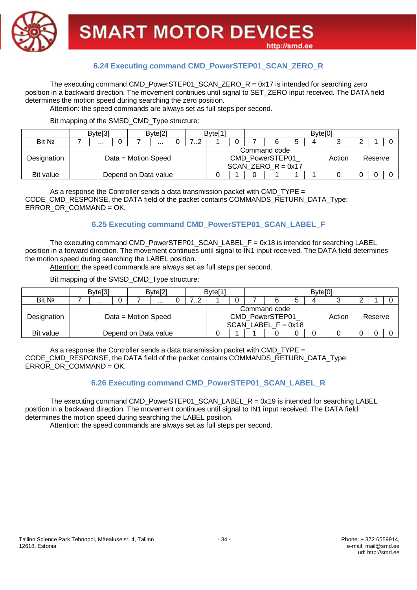

#### **6.24 Executing command CMD\_PowerSTEP01\_SCAN\_ZERO\_R**

The executing command CMD\_PowerSTEP01\_SCAN\_ZERO\_R =  $0x17$  is intended for searching zero position in a backward direction. The movement continues until signal to SET\_ZERO input received. The DATA field determines the motion speed during searching the zero position.

Attention: the speed commands are always set as full steps per second.

Bit mapping of the SMSD\_CMD\_Type structure:

|             | Byte <sup>[3]</sup> |                      | Byte <sup>[2]</sup> |   | Byte <sup>[1]</sup> |  |                                                         | Byte[0] |        |         |  |
|-------------|---------------------|----------------------|---------------------|---|---------------------|--|---------------------------------------------------------|---------|--------|---------|--|
| Bit No      | $\cdots$            |                      |                     | . |                     |  |                                                         |         |        |         |  |
| Designation |                     | Data = Motion Speed  |                     |   |                     |  | Command code<br>CMD PowerSTEP01<br>SCAN ZERO $R = 0x17$ |         | Action | Reserve |  |
| Bit value   |                     | Depend on Data value |                     |   |                     |  |                                                         |         |        |         |  |

As a response the Controller sends a data transmission packet with CMD\_TYPE = CODE\_CMD\_RESPONSE, the DATA field of the packet contains COMMANDS\_RETURN\_DATA\_Type: ERROR\_OR\_COMMAND = OK.

#### **6.25 Executing command CMD\_PowerSTEP01\_SCAN\_LABEL\_F**

The executing command CMD\_PowerSTEP01\_SCAN\_LABEL\_F =  $0x18$  is intended for searching LABEL position in a forward direction. The movement continues until signal to IN1 input received. The DATA field determines the motion speed during searching the LABEL position.

Attention: the speed commands are always set as full steps per second.

Bit mapping of the SMSD\_CMD\_Type structure:

|             | Byte <sup>[3]</sup> |  |                      | Byte <sup>[2]</sup> |  |   | Byte <sup>[1</sup> |  |                                                          | Byte <sup>[0]</sup> |        |         |  |
|-------------|---------------------|--|----------------------|---------------------|--|---|--------------------|--|----------------------------------------------------------|---------------------|--------|---------|--|
| Bit Nº      | $\cdots$            |  |                      | .                   |  | . |                    |  |                                                          |                     |        |         |  |
| Designation | Data = Motion Speed |  |                      |                     |  |   |                    |  | Command code<br>CMD PowerSTEP01<br>SCAN LABEL $F = 0x18$ |                     | Action | Reserve |  |
| Bit value   |                     |  | Depend on Data value |                     |  |   |                    |  |                                                          |                     |        |         |  |

As a response the Controller sends a data transmission packet with CMD TYPE  $=$ CODE\_CMD\_RESPONSE, the DATA field of the packet contains COMMANDS\_RETURN\_DATA\_Type: ERROR OR COMMAND = OK.

#### **6.26 Executing command CMD\_PowerSTEP01\_SCAN\_LABEL\_R**

The executing command CMD\_PowerSTEP01\_SCAN\_LABEL\_R =  $0x19$  is intended for searching LABEL position in a backward direction. The movement continues until signal to IN1 input received. The DATA field determines the motion speed during searching the LABEL position.

Attention: the speed commands are always set as full steps per second.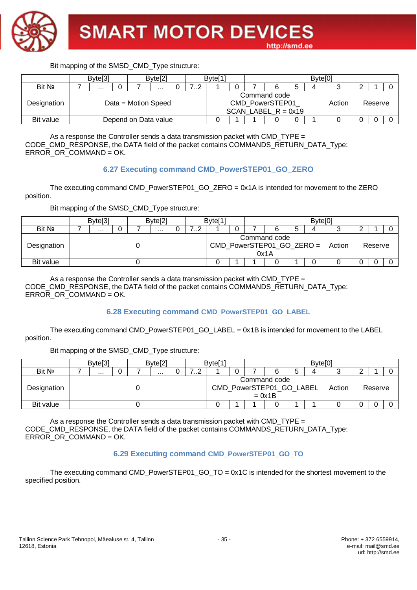

|             | Byte <sup>[3]</sup> |                      | Byte[2] |   | Byte <sup>[1</sup> |  |                                                          |   | Byte <sup>[0]</sup> |        |         |  |
|-------------|---------------------|----------------------|---------|---|--------------------|--|----------------------------------------------------------|---|---------------------|--------|---------|--|
| Bit No      |                     |                      |         | ے |                    |  |                                                          |   |                     |        |         |  |
| Designation |                     | Data = Motion Speed  |         |   |                    |  | Command code<br>CMD PowerSTEP01<br>SCAN LABEL $R = 0x19$ |   |                     | Action | Reserve |  |
| Bit value   |                     | Depend on Data value |         |   |                    |  |                                                          | 0 |                     |        |         |  |

As a response the Controller sends a data transmission packet with CMD\_TYPE = CODE\_CMD\_RESPONSE, the DATA field of the packet contains COMMANDS\_RETURN\_DATA\_Type: ERROR\_OR\_COMMAND = OK.

#### **6.27 Executing command CMD\_PowerSTEP01\_GO\_ZERO**

The executing command CMD\_PowerSTEP01\_GO\_ZERO = 0x1A is intended for movement to the ZERO position.

Bit mapping of the SMSD\_CMD\_Type structure:

|             | Byte <sup>[3]</sup> |  | Byte <sup>[2]</sup> |  |  | Byte <sup>[1]</sup> |   |                                                     |  | Byte[0] |        |         |  |
|-------------|---------------------|--|---------------------|--|--|---------------------|---|-----------------------------------------------------|--|---------|--------|---------|--|
| Bit No      |                     |  | .                   |  |  |                     | J |                                                     |  |         |        |         |  |
| Designation |                     |  |                     |  |  |                     |   | Command code<br>$CMD_PowerSTEP01_GO_ZERO =$<br>0x1A |  |         | Action | Reserve |  |
| Bit value   |                     |  |                     |  |  |                     |   |                                                     |  |         |        |         |  |

As a response the Controller sends a data transmission packet with CMD TYPE  $=$ CODE\_CMD\_RESPONSE, the DATA field of the packet contains COMMANDS\_RETURN\_DATA\_Type: ERROR\_OR\_COMMAND = OK.

#### **6.28 Executing command CMD\_PowerSTEP01\_GO\_LABEL**

The executing command CMD\_PowerSTEP01\_GO\_LABEL = 0x1B is intended for movement to the LABEL position.

Bit mapping of the SMSD\_CMD\_Type structure:

|             | Byte <sup>[3]</sup> |  |  | Byte <sup>[2]</sup> |  |  | Byte <sup>[1]</sup> |  |                                                      |   | Byte <sup>[0</sup> |        |         |  |
|-------------|---------------------|--|--|---------------------|--|--|---------------------|--|------------------------------------------------------|---|--------------------|--------|---------|--|
| Bit No      | .<br>$\cdots$       |  |  |                     |  |  |                     |  |                                                      | ა |                    |        |         |  |
| Designation |                     |  |  |                     |  |  |                     |  | Command code<br>CMD_PowerSTEP01_GO_LABEL<br>$= 0x1B$ |   |                    | Action | Reserve |  |
| Bit value   |                     |  |  |                     |  |  |                     |  |                                                      |   |                    |        |         |  |

As a response the Controller sends a data transmission packet with CMD TYPE = CODE\_CMD\_RESPONSE, the DATA field of the packet contains COMMANDS\_RETURN\_DATA\_Type: ERROR\_OR\_COMMAND = OK.

#### **6.29 Executing command CMD\_PowerSTEP01\_GO\_TO**

The executing command CMD\_PowerSTEP01\_GO\_TO = 0x1C is intended for the shortest movement to the specified position.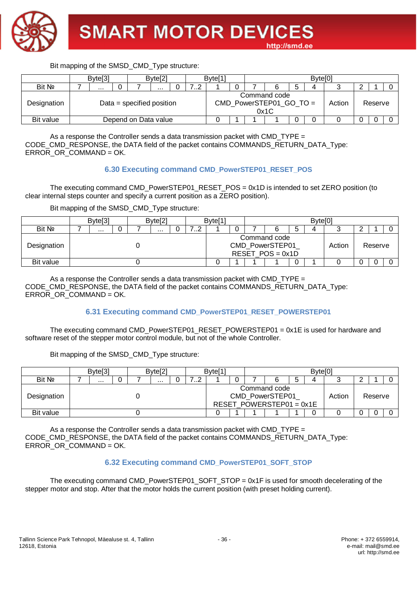

|             | Byte[3] |                           | Byte[2] |              | Byte <sup>[1</sup> |  |                                                   | Byte <sup>[0]</sup> |        |         |  |
|-------------|---------|---------------------------|---------|--------------|--------------------|--|---------------------------------------------------|---------------------|--------|---------|--|
| Bit No      |         |                           |         | . . <u>.</u> |                    |  |                                                   | Λ                   |        |         |  |
| Designation |         | Data = specified position |         |              |                    |  | Command code<br>$CMD_PowerSTEP01_GO_TO =$<br>0x1C |                     | Action | Reserve |  |
| Bit value   |         | Depend on Data value      |         |              |                    |  |                                                   |                     |        |         |  |

As a response the Controller sends a data transmission packet with CMD\_TYPE = CODE\_CMD\_RESPONSE, the DATA field of the packet contains COMMANDS\_RETURN\_DATA\_Type: ERROR\_OR\_COMMAND = OK.

#### **6.30 Executing command CMD\_PowerSTEP01\_RESET\_POS**

The executing command CMD\_PowerSTEP01\_RESET\_POS = 0x1D is intended to set ZERO position (to clear internal steps counter and specify a current position as a ZERO position).

Bit mapping of the SMSD\_CMD\_Type structure:

|             | Byte <sup>[3]</sup> |  |  | Byte <sup>[2]</sup> |  |   | Byte <sup>[1]</sup> |  |                                                       |   | Byte[0] |        |         |  |
|-------------|---------------------|--|--|---------------------|--|---|---------------------|--|-------------------------------------------------------|---|---------|--------|---------|--|
| Bit Nº      | $\cdots$            |  |  | .                   |  | . |                     |  |                                                       | ັ |         |        |         |  |
| Designation |                     |  |  |                     |  |   |                     |  | Command code<br>CMD_PowerSTEP01<br>RESET $POS = 0x1D$ |   |         | Action | Reserve |  |
| Bit value   |                     |  |  |                     |  |   |                     |  |                                                       | ∽ |         |        |         |  |

As a response the Controller sends a data transmission packet with CMD TYPE  $=$ CODE\_CMD\_RESPONSE, the DATA field of the packet contains COMMANDS\_RETURN\_DATA\_Type: ERROR OR COMMAND = OK.

#### **6.31 Executing command CMD\_PowerSTEP01\_RESET\_POWERSTEP01**

The executing command CMD\_PowerSTEP01\_RESET\_POWERSTEP01 =  $0x1E$  is used for hardware and software reset of the stepper motor control module, but not of the whole Controller.

Bit mapping of the SMSD\_CMD\_Type structure:

|             | Byte <sup>[3]</sup> |  |  | Byte <sup>[2]</sup> |  |  | Byte <sup>[1</sup> |  |                                                               | Byte <sup>[0]</sup> |        |         |  |
|-------------|---------------------|--|--|---------------------|--|--|--------------------|--|---------------------------------------------------------------|---------------------|--------|---------|--|
| Bit No      | <br>$\cdots$        |  |  |                     |  |  |                    |  |                                                               |                     |        |         |  |
| Designation |                     |  |  |                     |  |  |                    |  | Command code<br>CMD_PowerSTEP01<br>RESET POWERSTEP01 = $0x1E$ |                     | Action | Reserve |  |
| Bit value   |                     |  |  |                     |  |  |                    |  |                                                               |                     |        |         |  |

As a response the Controller sends a data transmission packet with CMD  $TYPE =$ CODE\_CMD\_RESPONSE, the DATA field of the packet contains COMMANDS\_RETURN\_DATA\_Type: ERROR\_OR\_COMMAND = OK.

#### **6.32 Executing command CMD\_PowerSTEP01\_SOFT\_STOP**

The executing command CMD\_PowerSTEP01\_SOFT\_STOP = 0x1F is used for smooth decelerating of the stepper motor and stop. After that the motor holds the current position (with preset holding current).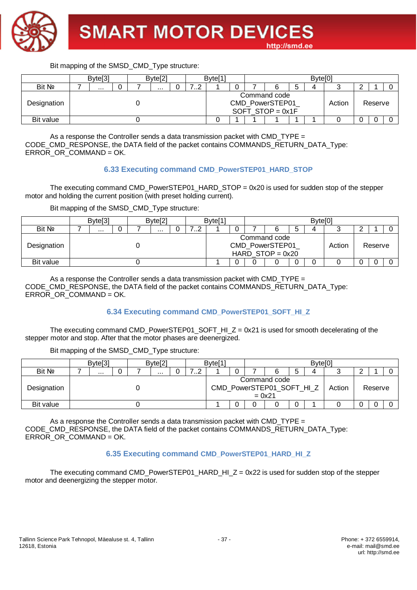

|             | Byte <sup>[3]</sup> |  |  | Byte <sup>[2]</sup> |  |  | Byte <sup>[1]</sup> |  |                                                       |   | <b>Bytel<sup>C</sup></b> |        |         |  |
|-------------|---------------------|--|--|---------------------|--|--|---------------------|--|-------------------------------------------------------|---|--------------------------|--------|---------|--|
| Bit Nº      | <br>                |  |  |                     |  |  |                     |  |                                                       | ت | 4                        |        |         |  |
| Designation |                     |  |  |                     |  |  |                     |  | Command code<br>CMD_PowerSTEP01<br>SOFT STOP = $0x1F$ |   |                          | Action | Reserve |  |
| Bit value   |                     |  |  |                     |  |  |                     |  |                                                       |   |                          |        |         |  |

As a response the Controller sends a data transmission packet with CMD\_TYPE = CODE\_CMD\_RESPONSE, the DATA field of the packet contains COMMANDS\_RETURN\_DATA\_Type: ERROR\_OR\_COMMAND = OK.

#### **6.33 Executing command CMD\_PowerSTEP01\_HARD\_STOP**

The executing command CMD\_PowerSTEP01\_HARD\_STOP = 0x20 is used for sudden stop of the stepper motor and holding the current position (with preset holding current).

Bit mapping of the SMSD\_CMD\_Type structure:

|             | Byte <sup>[3]</sup> |  |  | Byte <sup>[2]</sup> |  |   | Byte <sup>[1]</sup> |   |                                                       |   | Byte[0] |        |         |  |
|-------------|---------------------|--|--|---------------------|--|---|---------------------|---|-------------------------------------------------------|---|---------|--------|---------|--|
| Bit Nº      | $\cdots$            |  |  | .                   |  | . |                     |   |                                                       | ັ |         |        |         |  |
| Designation |                     |  |  |                     |  |   |                     |   | Command code<br>CMD_PowerSTEP01<br>HARD STOP = $0x20$ |   |         | Action | Reserve |  |
| Bit value   |                     |  |  |                     |  |   |                     | 0 |                                                       |   |         |        |         |  |

As a response the Controller sends a data transmission packet with CMD TYPE  $=$ CODE\_CMD\_RESPONSE, the DATA field of the packet contains COMMANDS\_RETURN\_DATA\_Type: ERROR\_OR\_COMMAND = OK.

#### **6.34 Executing command CMD\_PowerSTEP01\_SOFT\_HI\_Z**

The executing command CMD\_PowerSTEP01\_SOFT\_HI\_Z = 0x21 is used for smooth decelerating of the stepper motor and stop. After that the motor phases are deenergized.

Bit mapping of the SMSD\_CMD\_Type structure:

|             | Byte <sup>[3]</sup> |  |  | Byte <sup>[2]</sup> |  |  | Byte <sup>[1]</sup> |  |                                                       |   | Byte <sup>[0]</sup> |        |         |  |
|-------------|---------------------|--|--|---------------------|--|--|---------------------|--|-------------------------------------------------------|---|---------------------|--------|---------|--|
| Bit Nº      | <br>$\cdots$        |  |  |                     |  |  |                     |  |                                                       | G | Δ                   |        |         |  |
| Designation |                     |  |  |                     |  |  |                     |  | Command code<br>CMD_PowerSTEP01_SOFT_HI_Z<br>$= 0x21$ |   |                     | Action | Reserve |  |
| Bit value   |                     |  |  |                     |  |  |                     |  |                                                       |   |                     |        |         |  |

As a response the Controller sends a data transmission packet with CMD TYPE  $=$ CODE\_CMD\_RESPONSE, the DATA field of the packet contains COMMANDS\_RETURN\_DATA\_Type: ERROR\_OR\_COMMAND = OK.

#### **6.35 Executing command CMD\_PowerSTEP01\_HARD\_HI\_Z**

The executing command CMD\_PowerSTEP01\_HARD\_HI\_Z = 0x22 is used for sudden stop of the stepper motor and deenergizing the stepper motor.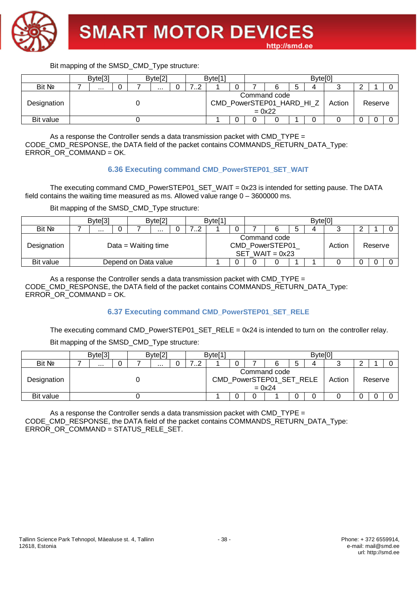

|             | Byte <sup>[3]</sup> |  |  | Byte[2] |  |   | Byte <sup>[1]</sup> |  |                                                       |   | Byte <sup>[0]</sup> |        |         |  |
|-------------|---------------------|--|--|---------|--|---|---------------------|--|-------------------------------------------------------|---|---------------------|--------|---------|--|
| Bit Nº      |                     |  |  |         |  | . |                     |  |                                                       | G | 4                   |        |         |  |
| Designation |                     |  |  |         |  |   |                     |  | Command code<br>CMD_PowerSTEP01_HARD_HI_Z<br>$= 0x22$ |   |                     | Action | Reserve |  |
| Bit value   |                     |  |  |         |  |   |                     |  |                                                       |   |                     |        |         |  |

As a response the Controller sends a data transmission packet with CMD\_TYPE = CODE\_CMD\_RESPONSE, the DATA field of the packet contains COMMANDS\_RETURN\_DATA\_Type: ERROR\_OR\_COMMAND = OK.

#### **6.36 Executing command CMD\_PowerSTEP01\_SET\_WAIT**

The executing command CMD\_PowerSTEP01\_SET\_WAIT = 0x23 is intended for setting pause. The DATA field contains the waiting time measured as ms. Allowed value range 0 – 3600000 ms.

Bit mapping of the SMSD\_CMD\_Type structure:

|             | Byte <sup>[3]</sup> |                      | Byte[2] |   | Byte[1 |  |                                                      | Byte <sup>[0]</sup> |        |         |  |
|-------------|---------------------|----------------------|---------|---|--------|--|------------------------------------------------------|---------------------|--------|---------|--|
| Bit No      | .                   |                      | .       | . |        |  |                                                      |                     |        |         |  |
| Designation |                     | Data = Waiting time  |         |   |        |  | Command code<br>CMD_PowerSTEP01<br>SET WAIT = $0x23$ |                     | Action | Reserve |  |
| Bit value   |                     | Depend on Data value |         |   |        |  |                                                      |                     |        |         |  |

As a response the Controller sends a data transmission packet with CMD TYPE  $=$ CODE\_CMD\_RESPONSE, the DATA field of the packet contains COMMANDS\_RETURN\_DATA\_Type: ERROR\_OR\_COMMAND = OK.

#### **6.37 Executing command CMD\_PowerSTEP01\_SET\_RELE**

The executing command CMD\_PowerSTEP01\_SET\_RELE = 0x24 is intended to turn on the controller relay.

Bit mapping of the SMSD\_CMD\_Type structure:

|             | Byte <sup>[3]</sup> |  | Byte <sup>[2]</sup> |  |                                                      | Byte <sup>[1</sup> |  |        |         | Byte <sup>[0</sup> |  |  |  |
|-------------|---------------------|--|---------------------|--|------------------------------------------------------|--------------------|--|--------|---------|--------------------|--|--|--|
| Bit Nº      | $\cdots$            |  | .                   |  | .                                                    |                    |  |        | э       |                    |  |  |  |
| Designation |                     |  |                     |  | Command code<br>CMD_PowerSTEP01_SET_RELE<br>$= 0x24$ |                    |  | Action | Reserve |                    |  |  |  |
| Bit value   |                     |  |                     |  |                                                      |                    |  |        |         |                    |  |  |  |

As a response the Controller sends a data transmission packet with CMD TYPE  $=$ CODE\_CMD\_RESPONSE, the DATA field of the packet contains COMMANDS\_RETURN\_DATA\_Type: ERROR\_OR\_COMMAND = STATUS\_RELE\_SET.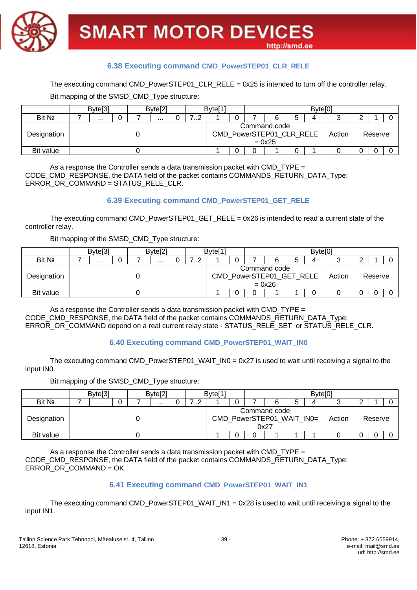

#### **6.38 Executing command CMD\_PowerSTEP01\_CLR\_RELE**

#### The executing command CMD\_PowerSTEP01\_CLR\_RELE =  $0x25$  is intended to turn off the controller relay.

Bit mapping of the SMSD\_CMD\_Type structure:

|             | Byte <sup>[3]</sup> |  |  | Byte <sup>[2]</sup> |  |   | Byte <sup>[1</sup> |  |                                                      |   | Byte[0] |        |         |  |
|-------------|---------------------|--|--|---------------------|--|---|--------------------|--|------------------------------------------------------|---|---------|--------|---------|--|
| Bit No      | .<br>$\cdots$       |  |  |                     |  | . |                    |  |                                                      | ა |         |        |         |  |
| Designation |                     |  |  |                     |  |   |                    |  | Command code<br>CMD_PowerSTEP01_CLR_RELE<br>$= 0x25$ |   |         | Action | Reserve |  |
| Bit value   |                     |  |  |                     |  |   |                    |  |                                                      |   |         |        |         |  |

As a response the Controller sends a data transmission packet with CMD TYPE  $=$ CODE\_CMD\_RESPONSE, the DATA field of the packet contains COMMANDS\_RETURN\_DATA\_Type: ERROR\_OR\_COMMAND = STATUS\_RELE\_CLR.

#### **6.39 Executing command CMD\_PowerSTEP01\_GET\_RELE**

The executing command CMD\_PowerSTEP01\_GET\_RELE =  $0x26$  is intended to read a current state of the controller relay.

Bit mapping of the SMSD\_CMD\_Type structure:

|             | Byte <sup>[3]</sup> |  |  | Byte[2] |  |   | Byte <sup>[1]</sup> |  |                                                      |   | Byte <sup>[0]</sup> |        |         |  |
|-------------|---------------------|--|--|---------|--|---|---------------------|--|------------------------------------------------------|---|---------------------|--------|---------|--|
| Bit Nº      |                     |  |  |         |  | . |                     |  |                                                      | э | Д                   |        |         |  |
| Designation |                     |  |  |         |  |   |                     |  | Command code<br>CMD_PowerSTEP01_GET_RELE<br>$= 0x26$ |   |                     | Action | Reserve |  |
| Bit value   |                     |  |  |         |  |   |                     |  |                                                      |   |                     |        |         |  |

As a response the Controller sends a data transmission packet with CMD\_TYPE = CODE\_CMD\_RESPONSE, the DATA field of the packet contains COMMANDS\_RETURN\_DATA\_Type: ERROR\_OR\_COMMAND depend on a real current relay state - STATUS\_RELE\_SET or STATUS\_RELE\_CLR.

#### **6.40 Executing command CMD\_PowerSTEP01\_WAIT\_IN0**

The executing command CMD\_PowerSTEP01\_WAIT\_IN0 =  $0x27$  is used to wait until receiving a signal to the input IN0.

Bit mapping of the SMSD\_CMD\_Type structure:

|             | Byte <sup>[3]</sup> |  |  | Byte[2] |  |   | Byte <sup>[1</sup> |  |                                                   |   | Byte[0] |        |         |  |
|-------------|---------------------|--|--|---------|--|---|--------------------|--|---------------------------------------------------|---|---------|--------|---------|--|
| Bit Nº      | $\cdots$            |  |  | .       |  | . |                    |  |                                                   | О |         |        |         |  |
| Designation |                     |  |  |         |  |   |                    |  | Command code<br>CMD_PowerSTEP01_WAIT_IN0=<br>0x27 |   |         | Action | Reserve |  |
| Bit value   |                     |  |  |         |  |   |                    |  |                                                   |   |         |        |         |  |

As a response the Controller sends a data transmission packet with CMD TYPE  $=$ CODE\_CMD\_RESPONSE, the DATA field of the packet contains COMMANDS\_RETURN\_DATA\_Type: ERROR\_OR\_COMMAND = OK.

#### **6.41 Executing command CMD\_PowerSTEP01\_WAIT\_IN1**

The executing command CMD\_PowerSTEP01\_WAIT\_IN1 = 0x28 is used to wait until receiving a signal to the input IN1.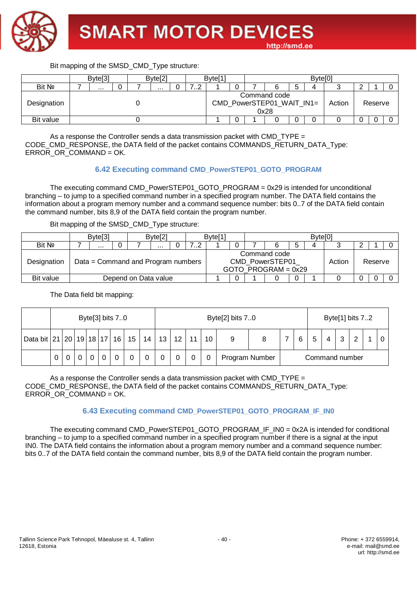

|             | Byte <sup>[3]</sup> |  |  | Byte <sup>[2]</sup> |  |   | Byte <sup>[1]</sup> |  |                                                   |   | Byte <sup>[0]</sup> |        |         |  |
|-------------|---------------------|--|--|---------------------|--|---|---------------------|--|---------------------------------------------------|---|---------------------|--------|---------|--|
| Bit Nº      |                     |  |  | .                   |  | . |                     |  |                                                   | C |                     |        |         |  |
| Designation |                     |  |  |                     |  |   |                     |  | Command code<br>CMD_PowerSTEP01_WAIT_IN1=<br>0x28 |   |                     | Action | Reserve |  |
| Bit value   |                     |  |  |                     |  |   |                     |  |                                                   |   |                     |        |         |  |

As a response the Controller sends a data transmission packet with CMD\_TYPE  $=$ CODE\_CMD\_RESPONSE, the DATA field of the packet contains COMMANDS\_RETURN\_DATA\_Type: ERROR\_OR\_COMMAND = OK.

#### **6.42 Executing command CMD\_PowerSTEP01\_GOTO\_PROGRAM**

The executing command CMD\_PowerSTEP01\_GOTO\_PROGRAM = 0x29 is intended for unconditional branching – to jump to a specified command number in a specified program number. The DATA field contains the information about a program memory number and a command sequence number: bits 0..7 of the DATA field contain the command number, bits 8,9 of the DATA field contain the program number.

#### Bit mapping of the SMSD\_CMD\_Type structure:

|             | Byte <sup>[3]</sup> |                                    | Byte[2]  |              | Byte <sup>[1]</sup> |  |                                                          |   | Bvtel01 |        |         |  |
|-------------|---------------------|------------------------------------|----------|--------------|---------------------|--|----------------------------------------------------------|---|---------|--------|---------|--|
| Bit Nº      | $\cdots$            |                                    | $\cdots$ | . . <u>.</u> |                     |  |                                                          | 5 | Δ       |        |         |  |
| Designation |                     | Data = Command and Program numbers |          |              |                     |  | Command code<br>CMD PowerSTEP01<br>GOTO PROGRAM = $0x29$ |   |         | Action | Reserve |  |
| Bit value   |                     | Depend on Data value               |          |              |                     |  |                                                          |   |         |        |         |  |

The Data field bit mapping:

|                         |   |   |  | Byte[3] bits $7.0$ |                 |    |    |    |    |    | Byte[2] bits 70 |                |   |                |        | Byte <sup>[1]</sup> bits 72 |  |
|-------------------------|---|---|--|--------------------|-----------------|----|----|----|----|----|-----------------|----------------|---|----------------|--------|-----------------------------|--|
| Data bit 21 20 19 18 17 |   |   |  | 16                 | 15 <sub>1</sub> | 14 | 13 | 12 | 11 | 10 |                 |                | 6 |                | ົ<br>ັ |                             |  |
|                         | 0 | ັ |  |                    |                 |    |    |    |    |    |                 | Program Number |   | Command number |        |                             |  |

As a response the Controller sends a data transmission packet with CMD TYPE = CODE\_CMD\_RESPONSE, the DATA field of the packet contains COMMANDS\_RETURN\_DATA\_Type: ERROR\_OR\_COMMAND = OK.

#### **6.43 Executing command CMD\_PowerSTEP01\_GOTO\_PROGRAM\_IF\_IN0**

The executing command CMD\_PowerSTEP01\_GOTO\_PROGRAM\_IF\_IN0 = 0x2A is intended for conditional branching – to jump to a specified command number in a specified program number if there is a signal at the input IN0. The DATA field contains the information about a program memory number and a command sequence number: bits 0..7 of the DATA field contain the command number, bits 8,9 of the DATA field contain the program number.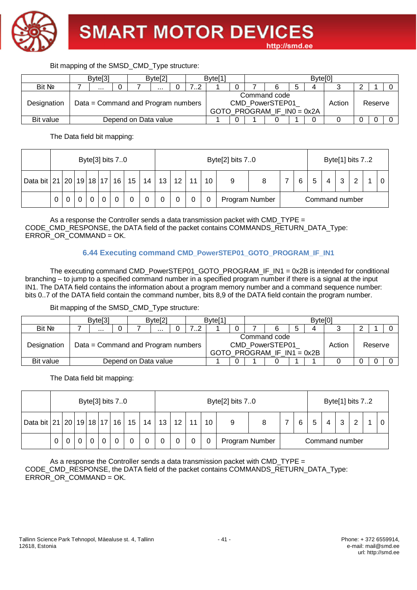

|             | Byte <sup>[3]</sup>                |                      | Byte <sup>[2]</sup> |  | Byte <sup>[1]</sup> |  |                                                                 |   | Byte[0] |        |         |  |
|-------------|------------------------------------|----------------------|---------------------|--|---------------------|--|-----------------------------------------------------------------|---|---------|--------|---------|--|
| Bit No      | $\cdots$                           |                      | .                   |  |                     |  |                                                                 | ა |         |        |         |  |
| Designation | Data = Command and Program numbers |                      |                     |  |                     |  | Command code<br>CMD PowerSTEP01<br>GOTO PROGRAM IF $INO = 0x2A$ |   |         | Action | Reserve |  |
| Bit value   |                                    | Depend on Data value |                     |  |                     |  |                                                                 |   |         |        |         |  |

The Data field bit mapping:

|                         |   |  |  | Byte <sup>[3]</sup> bits 70 |                 |    |    |                 |    |    | Byte[2] bits 70 |  |   |   |                |   | Byte[1] bits 72 |  |
|-------------------------|---|--|--|-----------------------------|-----------------|----|----|-----------------|----|----|-----------------|--|---|---|----------------|---|-----------------|--|
| Data bit 21 20 19 18 17 |   |  |  | 16                          | 15 <sub>1</sub> | 14 | 13 | 12 <sup>2</sup> | 11 | 10 |                 |  | 6 | 5 | 4              | ົ | $\sim$          |  |
|                         | 0 |  |  |                             |                 |    |    |                 |    | 0  | Program Number  |  |   |   | Command number |   |                 |  |

As a response the Controller sends a data transmission packet with CMD TYPE  $=$ CODE\_CMD\_RESPONSE, the DATA field of the packet contains COMMANDS\_RETURN\_DATA\_Type: ERROR\_OR\_COMMAND = OK.

#### **6.44 Executing command CMD\_PowerSTEP01\_GOTO\_PROGRAM\_IF\_IN1**

The executing command CMD\_PowerSTEP01\_GOTO\_PROGRAM\_IF\_IN1 = 0x2B is intended for conditional branching – to jump to a specified command number in a specified program number if there is a signal at the input IN1. The DATA field contains the information about a program memory number and a command sequence number: bits 0..7 of the DATA field contain the command number, bits 8,9 of the DATA field contain the program number.

Bit mapping of the SMSD\_CMD\_Type structure:

|             | Byte <sup>[3]</sup>                |                      | Byte[2] |  | Byte <sup>[1]</sup> |  |                                                                 |   | Byte <sup>[0]</sup> |        |         |  |
|-------------|------------------------------------|----------------------|---------|--|---------------------|--|-----------------------------------------------------------------|---|---------------------|--------|---------|--|
| Bit Nº      | $\cdots$                           |                      |         |  |                     |  |                                                                 | b |                     |        |         |  |
| Designation | Data = Command and Program numbers |                      |         |  |                     |  | Command code<br>CMD PowerSTEP01<br>GOTO PROGRAM IF $IN1 = 0x2B$ |   |                     | Action | Reserve |  |
| Bit value   |                                    | Depend on Data value |         |  |                     |  |                                                                 |   |                     |        |         |  |

The Data field bit mapping:

|                            |             |  |  | Byte <sup>[3]</sup> bits 70 |                 |    |    |    |    | Byte[2] bits 70 |                |   |   |                |   | Byte[1] bits 72 |  |
|----------------------------|-------------|--|--|-----------------------------|-----------------|----|----|----|----|-----------------|----------------|---|---|----------------|---|-----------------|--|
| Data bit 21 20 19 18 17 16 |             |  |  |                             | 15 <sub>1</sub> | 14 | 13 | 12 | 10 |                 |                | 6 | 5 | 4              | າ | ົ               |  |
|                            | $\mathbf 0$ |  |  |                             |                 |    |    |    | 0  |                 | Program Number |   |   | Command number |   |                 |  |

As a response the Controller sends a data transmission packet with CMD\_TYPE = CODE\_CMD\_RESPONSE, the DATA field of the packet contains COMMANDS\_RETURN\_DATA\_Type: ERROR\_OR\_COMMAND = OK.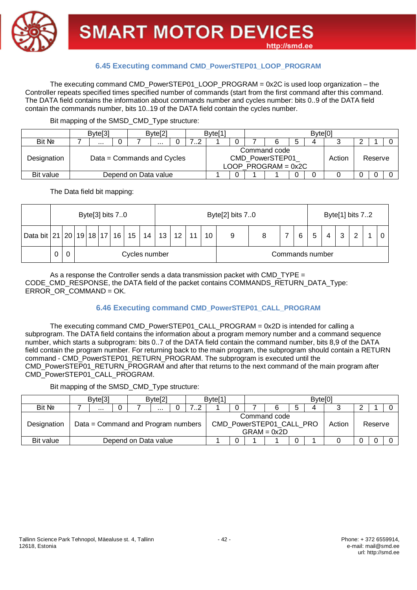

#### **6.45 Executing command CMD\_PowerSTEP01\_LOOP\_PROGRAM**

The executing command CMD\_PowerSTEP01\_LOOP\_PROGRAM = 0x2C is used loop organization – the Controller repeats specified times specified number of commands (start from the first command after this command. The DATA field contains the information about commands number and cycles number: bits 0..9 of the DATA field contain the commands number, bits 10..19 of the DATA field contain the cycles number.

Bit mapping of the SMSD\_CMD\_Type structure:

|             | Byte <sup>[3]</sup> |  |                            | Byte <sup>[2]</sup> |  |  | Byte <sup>[1</sup> |   |                                                          | Byte <sup>[0]</sup> |        |         |  |
|-------------|---------------------|--|----------------------------|---------------------|--|--|--------------------|---|----------------------------------------------------------|---------------------|--------|---------|--|
| Bit No      | $\cdots$<br>        |  |                            |                     |  |  |                    |   |                                                          |                     |        |         |  |
| Designation |                     |  | Data = Commands and Cycles |                     |  |  |                    |   | Command code<br>CMD PowerSTEP01<br>LOOP PROGRAM = $0x2C$ |                     | Action | Reserve |  |
| Bit value   |                     |  | Depend on Data value       |                     |  |  |                    | 0 |                                                          |                     |        |         |  |

The Data field bit mapping:

|   |                                                                  |  |  |  | Byte[3] bits $7.0$ |               |  |  |  |    |  | Byte[2] bits 70 |   |   |                 |   | Byte[1] bits 72 |  |  |
|---|------------------------------------------------------------------|--|--|--|--------------------|---------------|--|--|--|----|--|-----------------|---|---|-----------------|---|-----------------|--|--|
|   | Data bit 21   20   19   18   17   16   15   14   13   12  <br>11 |  |  |  |                    |               |  |  |  | 10 |  |                 | 6 | 5 | $\overline{4}$  | 3 | റ               |  |  |
| U |                                                                  |  |  |  |                    | Cycles number |  |  |  |    |  |                 |   |   | Commands number |   |                 |  |  |

As a response the Controller sends a data transmission packet with CMD TYPE  $=$ CODE\_CMD\_RESPONSE, the DATA field of the packet contains COMMANDS\_RETURN\_DATA\_Type: ERROR OR COMMAND = OK.

#### **6.46 Executing command CMD\_PowerSTEP01\_CALL\_PROGRAM**

The executing command CMD\_PowerSTEP01\_CALL\_PROGRAM = 0x2D is intended for calling a subprogram. The DATA field contains the information about a program memory number and a command sequence number, which starts a subprogram: bits 0..7 of the DATA field contain the command number, bits 8,9 of the DATA field contain the program number. For returning back to the main program, the subprogram should contain a RETURN command - CMD\_PowerSTEP01\_RETURN\_PROGRAM. The subprogram is executed until the CMD\_PowerSTEP01\_RETURN\_PROGRAM and after that returns to the next command of the main program after CMD\_PowerSTEP01\_CALL\_PROGRAM.

Bit mapping of the SMSD\_CMD\_Type structure:

|             | Byte <sup>[3]</sup>                |  |                      | Byte <sup>[2]</sup> |  |  | Byte <sup>[1</sup> |  |                                                           | Byte <sup>[0]</sup> |        |         |  |
|-------------|------------------------------------|--|----------------------|---------------------|--|--|--------------------|--|-----------------------------------------------------------|---------------------|--------|---------|--|
| Bit No      | <br>                               |  |                      |                     |  |  |                    |  |                                                           |                     |        |         |  |
| Designation | Data = Command and Program numbers |  |                      |                     |  |  |                    |  | Command code<br>CMD_PowerSTEP01_CALL_PRO<br>$GRAM = 0x2D$ |                     | Action | Reserve |  |
| Bit value   |                                    |  | Depend on Data value |                     |  |  |                    |  |                                                           |                     |        |         |  |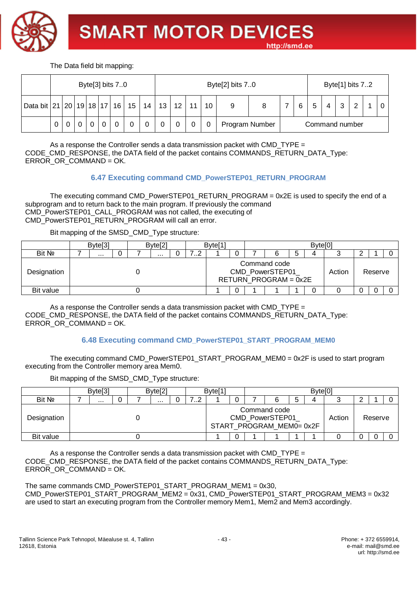

The Data field bit mapping:

|                                        |   |  |  | Byte <sup>[3]</sup> bits 70 |    |    |    |                 |    |    | Byte[2] bits 70 |  |   |   |                |        | Byte <sup>[1]</sup> bits 72 |  |
|----------------------------------------|---|--|--|-----------------------------|----|----|----|-----------------|----|----|-----------------|--|---|---|----------------|--------|-----------------------------|--|
| Data bit   21   20   19   18   17   16 |   |  |  |                             | 15 | 14 | 13 | 12 <sup>1</sup> | 11 | 10 |                 |  | 6 | 5 | 4              | າ<br>N | ົ                           |  |
|                                        | 0 |  |  |                             |    |    |    |                 |    |    | Program Number  |  |   |   | Command number |        |                             |  |

As a response the Controller sends a data transmission packet with CMD\_TYPE = CODE\_CMD\_RESPONSE, the DATA field of the packet contains COMMANDS\_RETURN\_DATA\_Type: ERROR\_OR\_COMMAND = OK.

#### **6.47 Executing command CMD\_PowerSTEP01\_RETURN\_PROGRAM**

The executing command CMD\_PowerSTEP01\_RETURN\_PROGRAM = 0x2E is used to specify the end of a subprogram and to return back to the main program. If previously the command CMD\_PowerSTEP01\_CALL\_PROGRAM was not called, the executing of CMD\_PowerSTEP01\_RETURN\_PROGRAM will call an error.

Bit mapping of the SMSD\_CMD\_Type structure:

|             | Byte <sup>[3]</sup> |  |  | Byte[2] |  |   | Byte <sup>[1]</sup> |  |                                                          |   | Byte <sup>[0]</sup> |        |         |  |
|-------------|---------------------|--|--|---------|--|---|---------------------|--|----------------------------------------------------------|---|---------------------|--------|---------|--|
| Bit No      | $\cdots$            |  |  |         |  | . |                     |  |                                                          | G |                     |        |         |  |
| Designation | $\cdots$            |  |  |         |  |   |                     |  | Command code<br>CMD_PowerSTEP01<br>RETURN_PROGRAM = 0x2E |   |                     | Action | Reserve |  |
| Bit value   |                     |  |  |         |  |   |                     |  |                                                          |   | ບ                   |        |         |  |

As a response the Controller sends a data transmission packet with CMD TYPE = CODE\_CMD\_RESPONSE, the DATA field of the packet contains COMMANDS\_RETURN\_DATA\_Type: ERROR\_OR\_COMMAND = OK.

#### **6.48 Executing command CMD\_PowerSTEP01\_START\_PROGRAM\_MEM0**

The executing command CMD\_PowerSTEP01\_START\_PROGRAM\_MEM0 = 0x2F is used to start program executing from the Controller memory area Mem0.

Bit mapping of the SMSD\_CMD\_Type structure:

|             |  | Byte <sup>[3]</sup> |  |  | Byte[2] |  |   | Byte <sup>[1</sup> |  |                                                             |        | Byte[0] |        |         |  |
|-------------|--|---------------------|--|--|---------|--|---|--------------------|--|-------------------------------------------------------------|--------|---------|--------|---------|--|
| Bit No      |  | $\cdots$            |  |  | .       |  | . |                    |  |                                                             | ∽<br>J |         |        |         |  |
| Designation |  |                     |  |  |         |  |   |                    |  | Command code<br>CMD_PowerSTEP01<br>START PROGRAM MEM0= 0x2F |        |         | Action | Reserve |  |
| Bit value   |  |                     |  |  |         |  |   |                    |  |                                                             |        |         |        |         |  |

As a response the Controller sends a data transmission packet with  $CMD_$  TYPE  $=$ CODE\_CMD\_RESPONSE, the DATA field of the packet contains COMMANDS\_RETURN\_DATA\_Type: ERROR\_OR\_COMMAND = OK.

The same commands CMD\_PowerSTEP01\_START\_PROGRAM\_MEM1 = 0x30, CMD\_PowerSTEP01\_START\_PROGRAM\_MEM2 = 0x31, CMD\_PowerSTEP01\_START\_PROGRAM\_MEM3 = 0x32 are used to start an executing program from the Controller memory Mem1, Mem2 and Mem3 accordingly.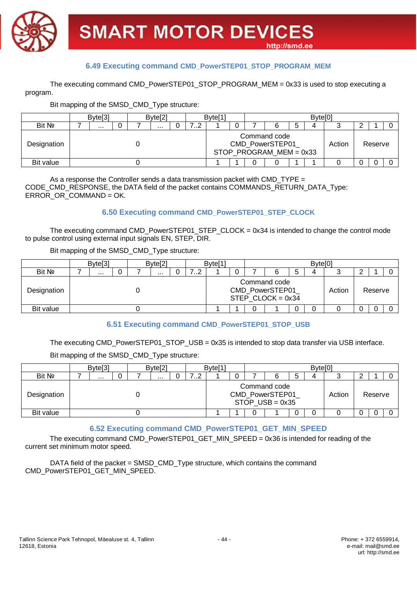

#### **6.49 Executing command CMD\_PowerSTEP01\_STOP\_PROGRAM\_MEM**

The executing command CMD\_PowerSTEP01\_STOP\_PROGRAM\_MEM = 0x33 is used to stop executing a program.

Bit mapping of the SMSD\_CMD\_Type structure:

|             | Byte <sup>[3]</sup> |  |  | Byte[2] |  |   | Byte <sup>[1]</sup> |   |                                                              |   | Byte <sup>[0]</sup> |        |         |  |
|-------------|---------------------|--|--|---------|--|---|---------------------|---|--------------------------------------------------------------|---|---------------------|--------|---------|--|
| Bit No      |                     |  |  |         |  | . |                     |   |                                                              | 5 |                     |        |         |  |
| Designation | .                   |  |  |         |  |   |                     |   | Command code<br>CMD_PowerSTEP01<br>STOP PROGRAM $MEM = 0x33$ |   |                     | Action | Reserve |  |
| Bit value   |                     |  |  |         |  |   |                     | 0 |                                                              |   |                     |        |         |  |

As a response the Controller sends a data transmission packet with CMD TYPE  $=$ CODE\_CMD\_RESPONSE, the DATA field of the packet contains COMMANDS\_RETURN\_DATA\_Type: ERROR\_OR\_COMMAND = OK.

#### **6.50 Executing command CMD\_PowerSTEP01\_STEP\_CLOCK**

The executing command CMD\_PowerSTEP01\_STEP\_CLOCK = 0x34 is intended to change the control mode to pulse control using external input signals EN, STEP, DIR.

Bit mapping of the SMSD\_CMD\_Type structure:

|             | Byte <sup>[3]</sup> |  |  | Byte <sup>[2]</sup> |  |              | Byte <sup>[1]</sup> |   |                                                        |   | <b>Bytel<sup>C</sup></b> |        |         |  |
|-------------|---------------------|--|--|---------------------|--|--------------|---------------------|---|--------------------------------------------------------|---|--------------------------|--------|---------|--|
| Bit Nº      | .<br>$\cdots$       |  |  |                     |  | . . <u>.</u> |                     |   |                                                        | b | 4                        |        |         |  |
| Designation |                     |  |  |                     |  |              |                     |   | Command code<br>CMD_PowerSTEP01<br>STEP CLOCK = $0x34$ |   |                          | Action | Reserve |  |
| Bit value   |                     |  |  |                     |  |              |                     | 0 |                                                        |   |                          |        |         |  |

#### **6.51 Executing command CMD\_PowerSTEP01\_STOP\_USB**

The executing CMD\_PowerSTEP01\_STOP\_USB = 0x35 is intended to stop data transfer via USB interface.

Bit mapping of the SMSD\_CMD\_Type structure:

|             | Byte <sup>[3]</sup> |  |  | Byte <sup>[2]</sup> |  | Byte <sup>[1]</sup> |   |                                                      |   | Byte[0] |        |         |  |
|-------------|---------------------|--|--|---------------------|--|---------------------|---|------------------------------------------------------|---|---------|--------|---------|--|
| Bit Nº      |                     |  |  | $\cdots$            |  |                     |   |                                                      | ა |         |        |         |  |
| Designation |                     |  |  |                     |  |                     |   | Command code<br>CMD_PowerSTEP01<br>STOP $USB = 0x35$ |   |         | Action | Reserve |  |
| Bit value   |                     |  |  |                     |  |                     | 0 |                                                      |   |         |        |         |  |

#### **6.52 Executing command CMD\_PowerSTEP01\_GET\_MIN\_SPEED**

The executing command CMD\_PowerSTEP01\_GET\_MIN\_SPEED = 0x36 is intended for reading of the current set minimum motor speed.

DATA field of the packet = SMSD\_CMD\_Type structure, which contains the command CMD\_PowerSTEP01\_GET\_MIN\_SPEED.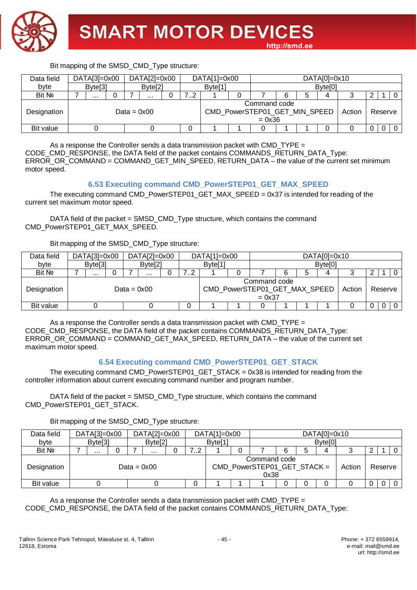

Bit mapping of the SMSD\_CMD\_Type structure: Data field byte DATA[3]=0x00 DATA[2]=0x00 DATA[1]=0x00 DATA[0]=0x10 Byte[3] Byte[2] Byte[1] Byte[0] Bit № 7 ... 0 7 ... 0 7..2 1 0 7 6 5 4 3 2 1 0 Designation  $Deta = 0x00$ Command code CMD\_PowerSTEP01\_GET\_MIN\_SPEED  $= 0x36$ Action | Reserve Bit value 0 0 0 1 1 0 1 1 0 0 0 0 0

As a response the Controller sends a data transmission packet with CMD TYPE  $=$ CODE\_CMD\_RESPONSE, the DATA field of the packet contains COMMANDS\_RETURN\_DATA\_Type: ERROR\_OR\_COMMAND = COMMAND\_GET\_MIN\_SPEED, RETURN\_DATA – the value of the current set minimum motor speed.

#### **6.53 Executing command CMD\_PowerSTEP01\_GET\_MAX\_SPEED**

The executing command CMD\_PowerSTEP01\_GET\_MAX\_SPEED = 0x37 is intended for reading of the current set maximum motor speed.

DATA field of the packet = SMSD\_CMD\_Type structure, which contains the command CMD\_PowerSTEP01\_GET\_MAX\_SPEED.

#### Bit mapping of the SMSD\_CMD\_Type structure:

| Data field  | $DATA[3]=0x00$      |  | $DATA[2]=0x00$      |  | $DATA[1]=0x00$                |                          |   | $DATA[0]=0x10$      |        |         |  |
|-------------|---------------------|--|---------------------|--|-------------------------------|--------------------------|---|---------------------|--------|---------|--|
| byte        | Byte <sup>[3]</sup> |  | Byte <sup>[2]</sup> |  | Byte <sup>[1]</sup>           |                          |   | Byte <sup>[0]</sup> |        |         |  |
| Bit Nº      | $\cdots$            |  |                     |  |                               |                          | 6 |                     |        |         |  |
| Designation |                     |  | Data = $0x00$       |  | CMD_PowerSTEP01_GET_MAX_SPEED | Command code<br>$= 0x37$ |   |                     | Action | Reserve |  |
| Bit value   |                     |  |                     |  |                               |                          |   |                     |        |         |  |

As a response the Controller sends a data transmission packet with CMD  $TYPE =$ CODE\_CMD\_RESPONSE, the DATA field of the packet contains COMMANDS\_RETURN\_DATA\_Type: ERROR\_OR\_COMMAND = COMMAND\_GET\_MAX\_SPEED, RETURN\_DATA – the value of the current set maximum motor speed.

#### **6.54 Executing command CMD\_PowerSTEP01\_GET\_STACK**

The executing command CMD\_PowerSTEP01\_GET\_STACK = 0x38 is intended for reading from the controller information about current executing command number and program number.

DATA field of the packet = SMSD\_CMD\_Type structure, which contains the command CMD\_PowerSTEP01\_GET\_STACK.

Bit mapping of the SMSD\_CMD\_Type structure:

| Data field  |               | $DATA[3]=0x00$      |  |  | $DATA[2]=0x00$      |   |             | $DATA[1]=0x00$      |                                                     |   | $DATA[0]=0x10$      |        |   |         |  |
|-------------|---------------|---------------------|--|--|---------------------|---|-------------|---------------------|-----------------------------------------------------|---|---------------------|--------|---|---------|--|
| byte        |               | Byte <sup>[3]</sup> |  |  | Byte <sup>[2]</sup> |   |             | Byte <sup>[1]</sup> |                                                     |   | Byte <sup>[0]</sup> |        |   |         |  |
| Bit Nº      |               |                     |  |  | $\cdots$            | 0 | 79<br>. . Z |                     |                                                     | 6 | 4                   |        |   |         |  |
| Designation | Data = $0x00$ |                     |  |  |                     |   |             |                     | Command code<br>CMD_PowerSTEP01_GET_STACK =<br>0x38 |   |                     | Action |   | Reserve |  |
| Bit value   |               |                     |  |  |                     |   | v           |                     |                                                     |   |                     |        | U |         |  |

As a response the Controller sends a data transmission packet with CMD\_TYPE = CODE\_CMD\_RESPONSE, the DATA field of the packet contains COMMANDS\_RETURN\_DATA\_Type: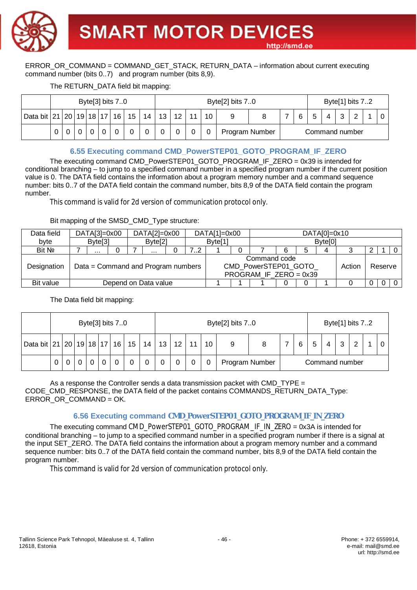

ERROR\_OR\_COMMAND = COMMAND\_GET\_STACK, RETURN\_DATA – information about current executing command number (bits 0..7) and program number (bits 8,9).

#### The RETURN\_DATA field bit mapping:

|                                   |  |  | Byte[3] bits $7.0$ |                 |    |    |    |    | Byte <sup>[2]</sup> bits 70 |                |  |                |  |   | Byte[1] bits 72 |  |
|-----------------------------------|--|--|--------------------|-----------------|----|----|----|----|-----------------------------|----------------|--|----------------|--|---|-----------------|--|
| Data bit   21   20   19   18   17 |  |  | 16                 | 15 <sub>1</sub> | 14 | 13 | 12 | 10 |                             |                |  |                |  | ⌒ |                 |  |
|                                   |  |  |                    |                 |    |    |    |    |                             | Program Number |  | Command number |  |   |                 |  |

#### **6.55 Executing command CMD\_PowerSTEP01\_GOTO\_PROGRAM\_IF\_ZERO**

The executing command CMD\_PowerSTEP01\_GOTO\_PROGRAM\_IF\_ZERO = 0x39 is intended for conditional branching – to jump to a specified command number in a specified program number if the current position value is 0. The DATA field contains the information about a program memory number and a command sequence number: bits 0..7 of the DATA field contain the command number, bits 8,9 of the DATA field contain the program number.

This command is valid for 2d version of communication protocol only.

#### Bit mapping of the SMSD\_CMD\_Type structure:

| Data field  | $DATA[3]=0x00$      |  | $DATA[2]=0x00$                     |     | $DATA[1]=0x00$      |                                                                   |   |   | $DATA[0]=0x10$      |        |         |  |
|-------------|---------------------|--|------------------------------------|-----|---------------------|-------------------------------------------------------------------|---|---|---------------------|--------|---------|--|
| byte        | Byte <sup>[3]</sup> |  | Byte <sup>[2]</sup>                |     | Byte <sup>[1]</sup> |                                                                   |   |   | Byte <sup>[0]</sup> |        |         |  |
| Bit No      |                     |  | $\cdots$                           | , 2 |                     |                                                                   | 6 | 5 | 4                   |        |         |  |
| Designation |                     |  | Data = Command and Program numbers |     |                     | Command code<br>CMD_PowerSTEP01_GOTO_<br>PROGRAM IF $ZERO = 0x39$ |   |   |                     | Action | Reserve |  |
| Bit value   |                     |  | Depend on Data value               |     |                     |                                                                   |   |   |                     |        |         |  |

The Data field bit mapping:

|                            |   |  |  | Byte[3] bits 70 |                 |    |                                                     |  |  | Byte[2] bits 70 |                |  |  |  |  |   | Byte[1] bits 72 |  |
|----------------------------|---|--|--|-----------------|-----------------|----|-----------------------------------------------------|--|--|-----------------|----------------|--|--|--|--|---|-----------------|--|
| Data bit 21 20 19 18 17 16 |   |  |  |                 | 15 <sub>1</sub> | 14 | 13 <sup>1</sup><br>12 <sup>2</sup><br>10<br>11<br>6 |  |  |                 |                |  |  |  |  | າ | $\sim$          |  |
|                            | 0 |  |  |                 |                 |    |                                                     |  |  |                 | Program Number |  |  |  |  |   | Command number  |  |

As a response the Controller sends a data transmission packet with CMD TYPE  $=$ CODE\_CMD\_RESPONSE, the DATA field of the packet contains COMMANDS\_RETURN\_DATA\_Type: ERROR OR COMMAND = OK.

#### **6.56 Executing command CMD\_PowerSTEP01\_GOTO\_PROGRAM\_IF\_IN\_ZERO**

The executing command CMD\_PowerSTEP01\_GOTO\_PROGRAM\_IF\_IN\_ZERO = 0x3A is intended for conditional branching – to jump to a specified command number in a specified program number if there is a signal at the input SET\_ZERO. The DATA field contains the information about a program memory number and a command sequence number: bits 0..7 of the DATA field contain the command number, bits 8,9 of the DATA field contain the program number.

This command is valid for 2d version of communication protocol only.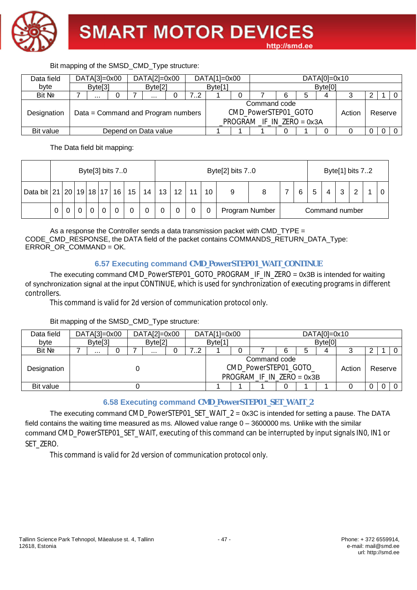

#### Data field byte DATA[3]=0x00 DATA[2]=0x00 DATA[1]=0x00 DATA[0]=0x10 Byte[3] Byte[2] Byte[1] Byte[0] Bit № 7 ... 0 7 ... 0 7..2 1 0 7 6 5 4 3 2 1 0 Designation  $\vert$  Data = Command and Program numbers Command code CMD\_PowerSTEP01\_GOTO \_PROGRAM \_IF\_IN\_ZERO = 0x3A Action Reserve Bit value Depend on Data value 1 1 1 0 1 0 0 0 0 0

The Data field bit mapping:

Bit mapping of the SMSD\_CMD\_Type structure:

|                                 |   |   |  | Byte[3] bits 70 |    |    |    |                 |   | Byte[2] bits 70 |                |   |   |                |  |  | Byte[1] bits 72 |  |
|---------------------------------|---|---|--|-----------------|----|----|----|-----------------|---|-----------------|----------------|---|---|----------------|--|--|-----------------|--|
| Data bit 21   20   19   18   17 |   |   |  | 16              | 15 | 14 | 13 | 12 <sup>°</sup> | 6 | 5               | 4              | ີ | ົ |                |  |  |                 |  |
|                                 | 0 | U |  |                 |    | 0  |    |                 | 0 |                 | Program Number |   |   | Command number |  |  |                 |  |

As a response the Controller sends a data transmission packet with CMD  $TYPE =$ CODE\_CMD\_RESPONSE, the DATA field of the packet contains COMMANDS\_RETURN\_DATA\_Type: ERROR\_OR\_COMMAND = OK.

#### **6.57 Executing command CMD\_PowerSTEP01\_WAIT\_CONTINUE**

The executing command CMD\_PowerSTEP01\_GOTO\_PROGRAM\_IF\_IN\_ZERO = 0x3B is intended for waiting of synchronization signal at the input CONTINUE, which is used for synchronization of executing programs in different controllers.

This command is valid for 2d version of communication protocol only.

#### Bit mapping of the SMSD\_CMD\_Type structure:

| Data field  | $DATA[3]=0x00$      |  | $DATA[2]=0x00$      |    | $DATA[1]=0x00$     |                                                                      |   |   | $DATA[0]=0x10$      |        |         |  |
|-------------|---------------------|--|---------------------|----|--------------------|----------------------------------------------------------------------|---|---|---------------------|--------|---------|--|
| byte        | Byte <sup>[3]</sup> |  | Byte <sup>[2]</sup> |    | Byte <sup>[1</sup> |                                                                      |   |   | Byte <sup>[0]</sup> |        |         |  |
| Bit No      |                     |  | $\cdots$            | 72 |                    |                                                                      | 6 | 5 | 4                   |        |         |  |
| Designation |                     |  |                     |    |                    | Command code<br>CMD_PowerSTEP01_GOTO_<br>$PROGRAM$ IF IN ZERO = 0x3B |   |   |                     | Action | Reserve |  |
| Bit value   |                     |  |                     |    |                    |                                                                      |   |   |                     |        |         |  |

# **6.58 Executing command CMD\_PowerSTEP01\_SET\_WAIT\_2**

The executing command CMD\_PowerSTEP01\_SET\_WAIT\_2 = 0x3C is intended for setting a pause. The DATA field contains the waiting time measured as ms. Allowed value range 0 – 3600000 ms. Unlike with the similar command CMD\_PowerSTEP01\_SET\_WAIT, executing of this command can be interrupted by input signals IN0, IN1 or SET\_ZERO.

This command is valid for 2d version of communication protocol only.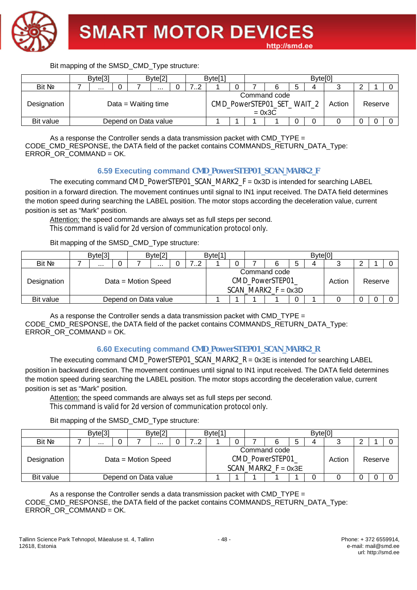

|             | Byte <sup>[3]</sup> |  |                      | Byte <sup>[2]</sup> |  |  | Byte <sup>[1</sup> |  |                                                        | Byte <sup>[0]</sup> |        |         |  |
|-------------|---------------------|--|----------------------|---------------------|--|--|--------------------|--|--------------------------------------------------------|---------------------|--------|---------|--|
| Bit No      | .<br>               |  |                      |                     |  |  |                    |  |                                                        |                     |        |         |  |
| Designation |                     |  | Data = Waiting time  |                     |  |  |                    |  | Command code<br>CMD_PowerSTEP01_SET_WAIT_2<br>$= 0x3C$ |                     | Action | Reserve |  |
| Bit value   |                     |  | Depend on Data value |                     |  |  |                    |  |                                                        |                     |        |         |  |

As a response the Controller sends a data transmission packet with CMD TYPE  $=$ CODE\_CMD\_RESPONSE, the DATA field of the packet contains COMMANDS\_RETURN\_DATA\_Type: ERROR\_OR\_COMMAND = OK.

#### **6.59 Executing command CMD\_PowerSTEP01\_SCAN\_MARK2\_F**

The executing command CMD\_PowerSTEP01\_SCAN\_MARK2\_F =  $0x3D$  is intended for searching LABEL position in a forward direction. The movement continues until signal to IN1 input received. The DATA field determines the motion speed during searching the LABEL position. The motor stops according the deceleration value, current position is set as "Mark" position.

Attention: the speed commands are always set as full steps per second. This command is valid for 2d version of communication protocol only.

#### Bit mapping of the SMSD\_CMD\_Type structure:

|             | Byte <sup>[3]</sup> |  |                      | Byte <sup>[2]</sup> |  |  | Byte <sup>[1</sup> |  |                                                          | Byte <sup>[0]</sup> |        |         |  |
|-------------|---------------------|--|----------------------|---------------------|--|--|--------------------|--|----------------------------------------------------------|---------------------|--------|---------|--|
| Bit No      | ے ا<br><br>.        |  |                      |                     |  |  |                    |  |                                                          | Д                   |        |         |  |
| Designation |                     |  | Data = Motion Speed  |                     |  |  |                    |  | Command code<br>CMD PowerSTEP01<br>SCAN MARK2 $F = 0x3D$ |                     | Action | Reserve |  |
| Bit value   |                     |  | Depend on Data value |                     |  |  |                    |  |                                                          |                     |        |         |  |

As a response the Controller sends a data transmission packet with CMD TYPE  $=$ CODE\_CMD\_RESPONSE, the DATA field of the packet contains COMMANDS\_RETURN\_DATA\_Type: ERROR\_OR\_COMMAND = OK.

#### **6.60 Executing command CMD\_PowerSTEP01\_SCAN\_MARK2\_R**

The executing command CMD\_PowerSTEP01\_SCAN\_MARK2\_R = 0x3E is intended for searching LABEL position in backward direction. The movement continues until signal to IN1 input received. The DATA field determines the motion speed during searching the LABEL position. The motor stops according the deceleration value, current position is set as "Mark" position.

Attention: the speed commands are always set as full steps per second. This command is valid for 2d version of communication protocol only.

Bit mapping of the SMSD\_CMD\_Type structure:

|             | Byte <sup>[3]</sup>   |  |                      | Byte[2] |  |  | Byte <sup>[1</sup> |  |                                                          |   | Byte <sup>[0]</sup> |        |         |  |
|-------------|-----------------------|--|----------------------|---------|--|--|--------------------|--|----------------------------------------------------------|---|---------------------|--------|---------|--|
| Bit No      | . . <u>.</u><br>.<br> |  |                      |         |  |  |                    |  |                                                          | 5 |                     |        |         |  |
| Designation |                       |  | Data = Motion Speed  |         |  |  |                    |  | Command code<br>CMD PowerSTEP01<br>SCAN MARK2 $F = 0x3E$ |   |                     | Action | Reserve |  |
| Bit value   |                       |  | Depend on Data value |         |  |  |                    |  |                                                          |   |                     |        |         |  |

As a response the Controller sends a data transmission packet with CMD  $TYPE =$ CODE\_CMD\_RESPONSE, the DATA field of the packet contains COMMANDS\_RETURN\_DATA\_Type: ERROR\_OR\_COMMAND = OK.